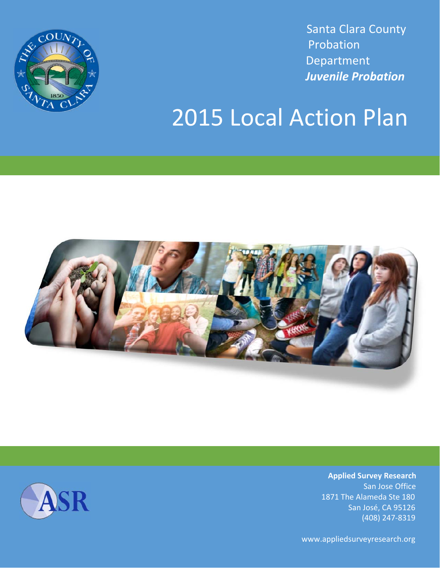

 Santa Clara County Probation Department  *Juvenile Probation* 

# 2015 Local Action Plan



**Applied Survey Research**  San Jose Office 1871 The Alameda Ste 180 San José, CA 95126 (408) 247‐8319

www.appliedsurveyresearch.org

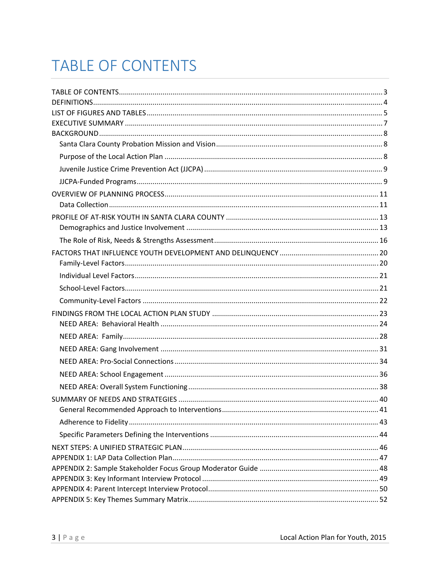# **TABLE OF CONTENTS**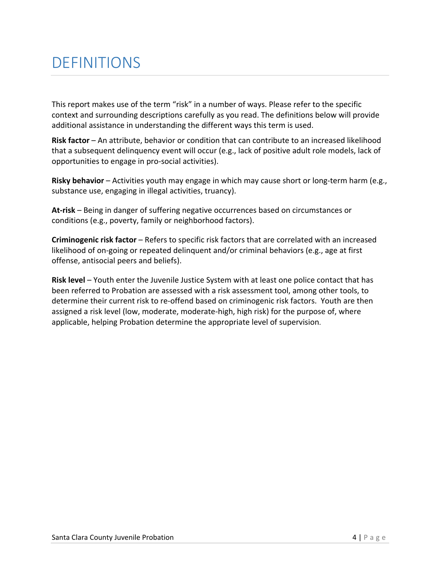## DEFINITIONS

This report makes use of the term "risk" in a number of ways. Please refer to the specific context and surrounding descriptions carefully as you read. The definitions below will provide additional assistance in understanding the different ways this term is used.

**Risk factor** – An attribute, behavior or condition that can contribute to an increased likelihood that a subsequent delinquency event will occur (e.g., lack of positive adult role models, lack of opportunities to engage in pro‐social activities).

**Risky behavior** – Activities youth may engage in which may cause short or long‐term harm (e.g., substance use, engaging in illegal activities, truancy).

**At‐risk** – Being in danger of suffering negative occurrences based on circumstances or conditions (e.g., poverty, family or neighborhood factors).

**Criminogenic risk factor** – Refers to specific risk factors that are correlated with an increased likelihood of on‐going or repeated delinquent and/or criminal behaviors (e.g., age at first offense, antisocial peers and beliefs).

**Risk level** – Youth enter the Juvenile Justice System with at least one police contact that has been referred to Probation are assessed with a risk assessment tool, among other tools, to determine their current risk to re-offend based on criminogenic risk factors. Youth are then assigned a risk level (low, moderate, moderate‐high, high risk) for the purpose of, where applicable, helping Probation determine the appropriate level of supervision.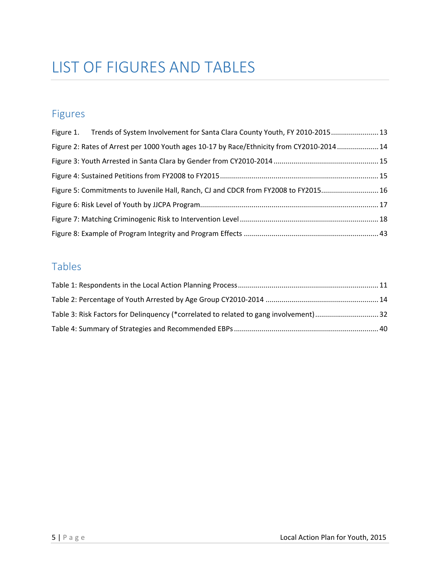## LIST OF FIGURES AND TABLES

## Figures

| Figure 1. Trends of System Involvement for Santa Clara County Youth, FY 2010-2015 13     |  |
|------------------------------------------------------------------------------------------|--|
| Figure 2: Rates of Arrest per 1000 Youth ages 10-17 by Race/Ethnicity from CY2010-201414 |  |
|                                                                                          |  |
|                                                                                          |  |
| Figure 5: Commitments to Juvenile Hall, Ranch, CJ and CDCR from FY2008 to FY2015 16      |  |
|                                                                                          |  |
|                                                                                          |  |
|                                                                                          |  |

## Tables

| Table 3: Risk Factors for Delinguency (*correlated to related to gang involvement)32 |  |
|--------------------------------------------------------------------------------------|--|
|                                                                                      |  |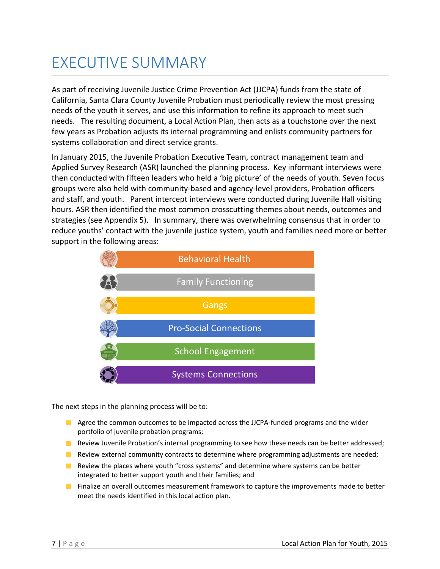## EXECUTIVE SUMMARY

As part of receiving Juvenile Justice Crime Prevention Act (JJCPA) funds from the state of California, Santa Clara County Juvenile Probation must periodically review the most pressing needs of the youth it serves, and use this information to refine its approach to meet such needs. The resulting document, a Local Action Plan, then acts as a touchstone over the next few years as Probation adjusts its internal programming and enlists community partners for systems collaboration and direct service grants.

In January 2015, the Juvenile Probation Executive Team, contract management team and Applied Survey Research (ASR) launched the planning process. Key informant interviews were then conducted with fifteen leaders who held a 'big picture' of the needs of youth. Seven focus groups were also held with community‐based and agency‐level providers, Probation officers and staff, and youth. Parent intercept interviews were conducted during Juvenile Hall visiting hours. ASR then identified the most common crosscutting themes about needs, outcomes and strategies (see Appendix 5). In summary, there was overwhelming consensus that in order to reduce youths' contact with the juvenile justice system, youth and families need more or better support in the following areas:



The next steps in the planning process will be to:

- $\blacksquare$  Agree the common outcomes to be impacted across the JJCPA-funded programs and the wider portfolio of juvenile probation programs;
- **Review Juvenile Probation's internal programming to see how these needs can be better addressed;**
- **Review external community contracts to determine where programming adjustments are needed;**
- **Review the places where youth "cross systems" and determine where systems can be better** integrated to better support youth and their families; and
- **Finalize an overall outcomes measurement framework to capture the improvements made to better** meet the needs identified in this local action plan.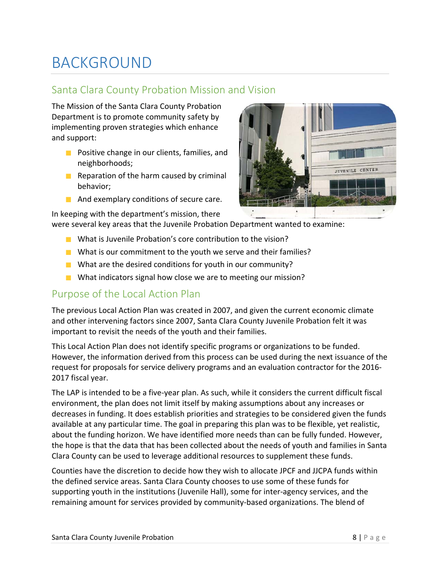## BACKGROUND

## Santa Clara County Probation Mission and Vision

The Mission of the Santa Clara County Probation Department is to promote community safety by implementing proven strategies which enhance and support:

- **Positive change in our clients, families, and** neighborhoods;
- $\blacksquare$  Reparation of the harm caused by criminal behavior;
- **And exemplary conditions of secure care.**

In keeping with the department's mission, there



were several key areas that the Juvenile Probation Department wanted to examine:

- What is Juvenile Probation's core contribution to the vision?
- What is our commitment to the youth we serve and their families?
- What are the desired conditions for youth in our community?
- What indicators signal how close we are to meeting our mission?

## Purpose of the Local Action Plan

The previous Local Action Plan was created in 2007, and given the current economic climate and other intervening factors since 2007, Santa Clara County Juvenile Probation felt it was important to revisit the needs of the youth and their families.

This Local Action Plan does not identify specific programs or organizations to be funded. However, the information derived from this process can be used during the next issuance of the request for proposals for service delivery programs and an evaluation contractor for the 2016‐ 2017 fiscal year.

The LAP is intended to be a five‐year plan. As such, while it considers the current difficult fiscal environment, the plan does not limit itself by making assumptions about any increases or decreases in funding. It does establish priorities and strategies to be considered given the funds available at any particular time. The goal in preparing this plan was to be flexible, yet realistic, about the funding horizon. We have identified more needs than can be fully funded. However, the hope is that the data that has been collected about the needs of youth and families in Santa Clara County can be used to leverage additional resources to supplement these funds.

Counties have the discretion to decide how they wish to allocate JPCF and JJCPA funds within the defined service areas. Santa Clara County chooses to use some of these funds for supporting youth in the institutions (Juvenile Hall), some for inter-agency services, and the remaining amount for services provided by community‐based organizations. The blend of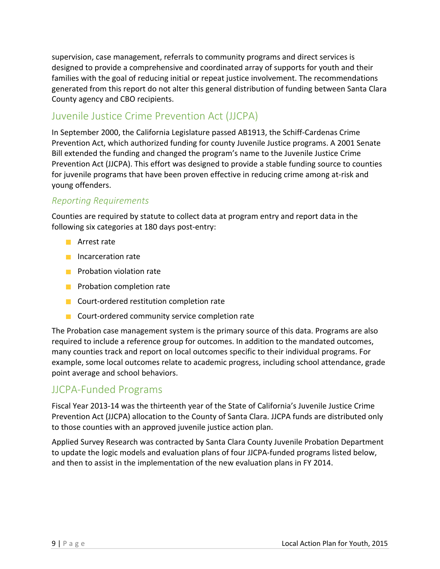supervision, case management, referrals to community programs and direct services is designed to provide a comprehensive and coordinated array of supports for youth and their families with the goal of reducing initial or repeat justice involvement. The recommendations generated from this report do not alter this general distribution of funding between Santa Clara County agency and CBO recipients.

## Juvenile Justice Crime Prevention Act (JJCPA)

In September 2000, the California Legislature passed AB1913, the Schiff‐Cardenas Crime Prevention Act, which authorized funding for county Juvenile Justice programs. A 2001 Senate Bill extended the funding and changed the program's name to the Juvenile Justice Crime Prevention Act (JJCPA). This effort was designed to provide a stable funding source to counties for juvenile programs that have been proven effective in reducing crime among at‐risk and young offenders.

### *Reporting Requirements*

Counties are required by statute to collect data at program entry and report data in the following six categories at 180 days post-entry:

- **Arrest rate**
- **Incarceration rate**
- **Probation violation rate**
- **Probation completion rate**
- Court-ordered restitution completion rate
- Court-ordered community service completion rate

The Probation case management system is the primary source of this data. Programs are also required to include a reference group for outcomes. In addition to the mandated outcomes, many counties track and report on local outcomes specific to their individual programs. For example, some local outcomes relate to academic progress, including school attendance, grade point average and school behaviors.

## JJCPA‐Funded Programs

Fiscal Year 2013‐14 was the thirteenth year of the State of California's Juvenile Justice Crime Prevention Act (JJCPA) allocation to the County of Santa Clara. JJCPA funds are distributed only to those counties with an approved juvenile justice action plan.

Applied Survey Research was contracted by Santa Clara County Juvenile Probation Department to update the logic models and evaluation plans of four JJCPA‐funded programs listed below, and then to assist in the implementation of the new evaluation plans in FY 2014.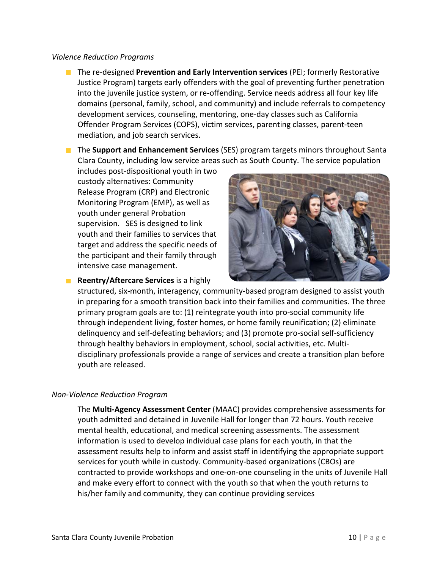#### *Violence Reduction Programs*

- The re-designed **Prevention and Early Intervention services** (PEI; formerly Restorative Justice Program) targets early offenders with the goal of preventing further penetration into the juvenile justice system, or re‐offending. Service needs address all four key life domains (personal, family, school, and community) and include referrals to competency development services, counseling, mentoring, one‐day classes such as California Offender Program Services (COPS), victim services, parenting classes, parent‐teen mediation, and job search services.
- The **Support and Enhancement Services** (SES) program targets minors throughout Santa Clara County, including low service areas such as South County. The service population

includes post‐dispositional youth in two custody alternatives: Community Release Program (CRP) and Electronic Monitoring Program (EMP), as well as youth under general Probation supervision. SES is designed to link youth and their families to services that target and address the specific needs of the participant and their family through intensive case management.



**Reentry/Aftercare Services** is a highly

structured, six‐month, interagency, community‐based program designed to assist youth in preparing for a smooth transition back into their families and communities. The three primary program goals are to: (1) reintegrate youth into pro‐social community life through independent living, foster homes, or home family reunification; (2) eliminate delinquency and self‐defeating behaviors; and (3) promote pro‐social self‐sufficiency through healthy behaviors in employment, school, social activities, etc. Multi‐ disciplinary professionals provide a range of services and create a transition plan before youth are released.

#### *Non‐Violence Reduction Program*

The **Multi‐Agency Assessment Center** (MAAC) provides comprehensive assessments for youth admitted and detained in Juvenile Hall for longer than 72 hours. Youth receive mental health, educational, and medical screening assessments. The assessment information is used to develop individual case plans for each youth, in that the assessment results help to inform and assist staff in identifying the appropriate support services for youth while in custody. Community-based organizations (CBOs) are contracted to provide workshops and one‐on‐one counseling in the units of Juvenile Hall and make every effort to connect with the youth so that when the youth returns to his/her family and community, they can continue providing services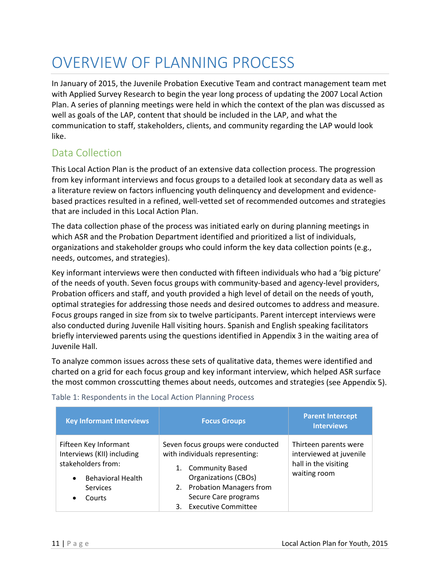## OVERVIEW OF PLANNING PROCESS

In January of 2015, the Juvenile Probation Executive Team and contract management team met with Applied Survey Research to begin the year long process of updating the 2007 Local Action Plan. A series of planning meetings were held in which the context of the plan was discussed as well as goals of the LAP, content that should be included in the LAP, and what the communication to staff, stakeholders, clients, and community regarding the LAP would look like.

## Data Collection

This Local Action Plan is the product of an extensive data collection process. The progression from key informant interviews and focus groups to a detailed look at secondary data as well as a literature review on factors influencing youth delinquency and development and evidence‐ based practices resulted in a refined, well‐vetted set of recommended outcomes and strategies that are included in this Local Action Plan.

The data collection phase of the process was initiated early on during planning meetings in which ASR and the Probation Department identified and prioritized a list of individuals, organizations and stakeholder groups who could inform the key data collection points (e.g., needs, outcomes, and strategies).

Key informant interviews were then conducted with fifteen individuals who had a 'big picture' of the needs of youth. Seven focus groups with community‐based and agency‐level providers, Probation officers and staff, and youth provided a high level of detail on the needs of youth, optimal strategies for addressing those needs and desired outcomes to address and measure. Focus groups ranged in size from six to twelve participants. Parent intercept interviews were also conducted during Juvenile Hall visiting hours. Spanish and English speaking facilitators briefly interviewed parents using the questions identified in Appendix 3 in the waiting area of Juvenile Hall.

To analyze common issues across these sets of qualitative data, themes were identified and charted on a grid for each focus group and key informant interview, which helped ASR surface the most common crosscutting themes about needs, outcomes and strategies (see Appendix 5).

| <b>Key Informant Interviews</b>                                                                                                                              | <b>Focus Groups</b>                                                                                                                                                                                                          | <b>Parent Intercept</b><br><b>Interviews</b>                                             |
|--------------------------------------------------------------------------------------------------------------------------------------------------------------|------------------------------------------------------------------------------------------------------------------------------------------------------------------------------------------------------------------------------|------------------------------------------------------------------------------------------|
| Fifteen Key Informant<br>Interviews (KII) including<br>stakeholders from:<br><b>Behavioral Health</b><br>$\bullet$<br><b>Services</b><br>Courts<br>$\bullet$ | Seven focus groups were conducted<br>with individuals representing:<br><b>Community Based</b><br>1.<br><b>Organizations (CBOs)</b><br>2. Probation Managers from<br>Secure Care programs<br><b>Executive Committee</b><br>3. | Thirteen parents were<br>interviewed at juvenile<br>hall in the visiting<br>waiting room |

### Table 1: Respondents in the Local Action Planning Process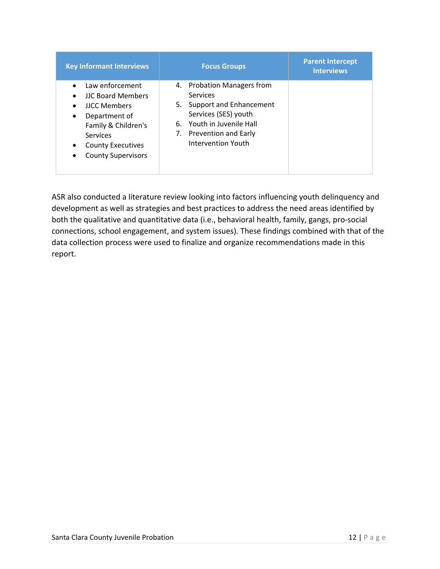| <b>Key Informant Interviews</b>                                                                                                                                                                                                                              | <b>Focus Groups</b>                                                                                                                                                               | <b>Parent Intercept</b><br><b>Interviews</b> |
|--------------------------------------------------------------------------------------------------------------------------------------------------------------------------------------------------------------------------------------------------------------|-----------------------------------------------------------------------------------------------------------------------------------------------------------------------------------|----------------------------------------------|
| Law enforcement<br>$\bullet$<br><b>JJC Board Members</b><br>$\bullet$<br><b>JJCC Members</b><br>$\bullet$<br>Department of<br>$\bullet$<br>Family & Children's<br><b>Services</b><br><b>County Executives</b><br>$\bullet$<br><b>County Supervisors</b><br>٠ | 4. Probation Managers from<br><b>Services</b><br>5. Support and Enhancement<br>Services (SES) youth<br>6. Youth in Juvenile Hall<br>7. Prevention and Early<br>Intervention Youth |                                              |

ASR also conducted a literature review looking into factors influencing youth delinquency and development as well as strategies and best practices to address the need areas identified by both the qualitative and quantitative data (i.e., behavioral health, family, gangs, pro‐social connections, school engagement, and system issues). These findings combined with that of the data collection process were used to finalize and organize recommendations made in this report.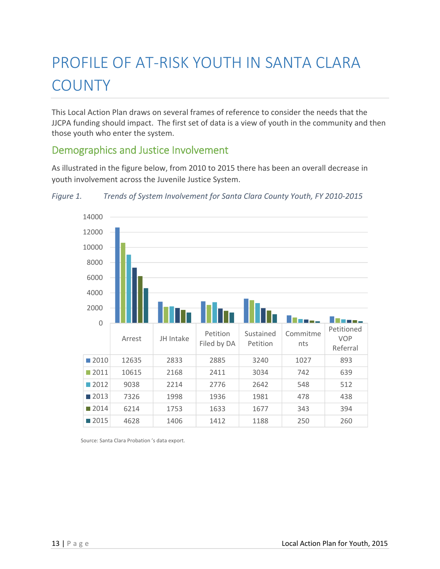# PROFILE OF AT‐RISK YOUTH IN SANTA CLARA **COUNTY**

This Local Action Plan draws on several frames of reference to consider the needs that the JJCPA funding should impact. The first set of data is a view of youth in the community and then those youth who enter the system.

## Demographics and Justice Involvement

As illustrated in the figure below, from 2010 to 2015 there has been an overall decrease in youth involvement across the Juvenile Justice System.



*Figure 1. Trends of System Involvement for Santa Clara County Youth, FY 2010‐2015*

Source: Santa Clara Probation 's data export.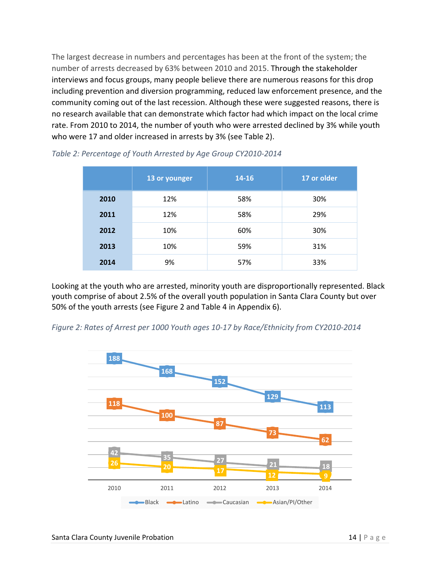The largest decrease in numbers and percentages has been at the front of the system; the number of arrests decreased by 63% between 2010 and 2015. Through the stakeholder interviews and focus groups, many people believe there are numerous reasons for this drop including prevention and diversion programming, reduced law enforcement presence, and the community coming out of the last recession. Although these were suggested reasons, there is no research available that can demonstrate which factor had which impact on the local crime rate. From 2010 to 2014, the number of youth who were arrested declined by 3% while youth who were 17 and older increased in arrests by 3% (see Table 2).

|      | 13 or younger | $14 - 16$ | 17 or older |
|------|---------------|-----------|-------------|
| 2010 | 12%           | 58%       | 30%         |
| 2011 | 12%           | 58%       | 29%         |
| 2012 | 10%           | 60%       | 30%         |
| 2013 | 10%           | 59%       | 31%         |
| 2014 | 9%            | 57%       | 33%         |

*Table 2: Percentage of Youth Arrested by Age Group CY2010‐2014*

Looking at the youth who are arrested, minority youth are disproportionally represented. Black youth comprise of about 2.5% of the overall youth population in Santa Clara County but over 50% of the youth arrests (see Figure 2 and Table 4 in Appendix 6).



2010 2011 2012 2013 2014

Black **- Latino - Caucasian - Asian/PI/Other** 

*Figure 2: Rates of Arrest per 1000 Youth ages 10‐17 by Race/Ethnicity from CY2010‐2014*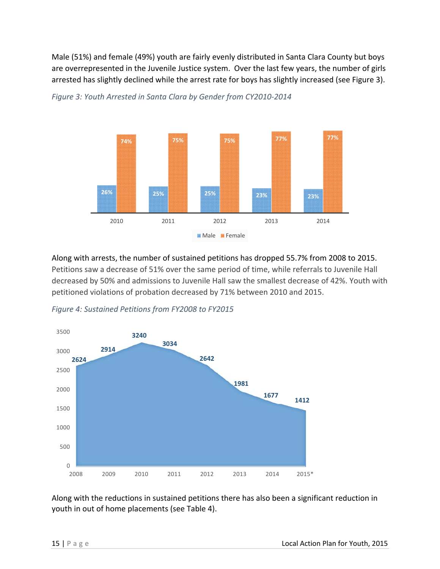Male (51%) and female (49%) youth are fairly evenly distributed in Santa Clara County but boys are overrepresented in the Juvenile Justice system. Over the last few years, the number of girls arrested has slightly declined while the arrest rate for boys has slightly increased (see Figure 3).



*Figure 3: Youth Arrested in Santa Clara by Gender from CY2010‐2014*

Along with arrests, the number of sustained petitions has dropped 55.7% from 2008 to 2015. Petitions saw a decrease of 51% over the same period of time, while referrals to Juvenile Hall decreased by 50% and admissions to Juvenile Hall saw the smallest decrease of 42%. Youth with petitioned violations of probation decreased by 71% between 2010 and 2015.



*Figure 4: Sustained Petitions from FY2008 to FY2015*

Along with the reductions in sustained petitions there has also been a significant reduction in youth in out of home placements (see Table 4).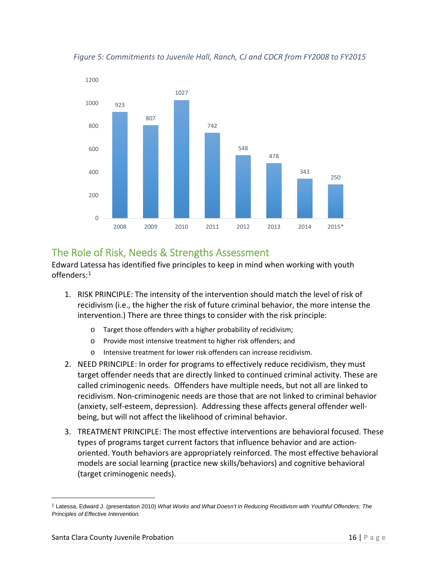

*Figure 5: Commitments to Juvenile Hall, Ranch, CJ and CDCR from FY2008 to FY2015*

## The Role of Risk, Needs & Strengths Assessment

Edward Latessa has identified five principles to keep in mind when working with youth offenders: $^1$ 

- 1. RISK PRINCIPLE: The intensity of the intervention should match the level of risk of recidivism (i.e., the higher the risk of future criminal behavior, the more intense the intervention.) There are three things to consider with the risk principle:
	- o Target those offenders with a higher probability of recidivism;
	- o Provide most intensive treatment to higher risk offenders; and
	- o Intensive treatment for lower risk offenders can increase recidivism.
- 2. NEED PRINCIPLE: In order for programs to effectively reduce recidivism, they must target offender needs that are directly linked to continued criminal activity. These are called criminogenic needs. Offenders have multiple needs, but not all are linked to recidivism. Non‐criminogenic needs are those that are not linked to criminal behavior (anxiety, self‐esteem, depression). Addressing these affects general offender well‐ being, but will not affect the likelihood of criminal behavior.
- 3. TREATMENT PRINCIPLE: The most effective interventions are behavioral focused. These types of programs target current factors that influence behavior and are action‐ oriented. Youth behaviors are appropriately reinforced. The most effective behavioral models are social learning (practice new skills/behaviors) and cognitive behavioral (target criminogenic needs).

<sup>1</sup> Latessa, Edward J. (presentation 2010) *What Works and What Doesn't in Reducing Recidivism with Youthful Offenders: The Principles of Effective Intervention.*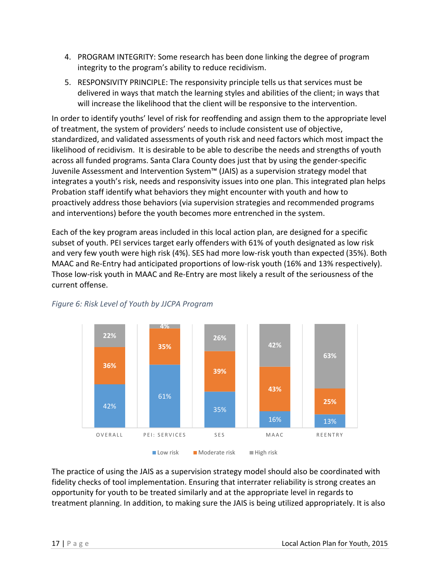- 4. PROGRAM INTEGRITY: Some research has been done linking the degree of program integrity to the program's ability to reduce recidivism.
- 5. RESPONSIVITY PRINCIPLE: The responsivity principle tells us that services must be delivered in ways that match the learning styles and abilities of the client; in ways that will increase the likelihood that the client will be responsive to the intervention.

In order to identify youths' level of risk for reoffending and assign them to the appropriate level of treatment, the system of providers' needs to include consistent use of objective, standardized, and validated assessments of youth risk and need factors which most impact the likelihood of recidivism. It is desirable to be able to describe the needs and strengths of youth across all funded programs. Santa Clara County does just that by using the gender‐specific Juvenile Assessment and Intervention System™ (JAIS) as a supervision strategy model that integrates a youth's risk, needs and responsivity issues into one plan. This integrated plan helps Probation staff identify what behaviors they might encounter with youth and how to proactively address those behaviors (via supervision strategies and recommended programs and interventions) before the youth becomes more entrenched in the system.

Each of the key program areas included in this local action plan, are designed for a specific subset of youth. PEI services target early offenders with 61% of youth designated as low risk and very few youth were high risk (4%). SES had more low-risk youth than expected (35%). Both MAAC and Re‐Entry had anticipated proportions of low‐risk youth (16% and 13% respectively). Those low‐risk youth in MAAC and Re‐Entry are most likely a result of the seriousness of the current offense.



### *Figure 6: Risk Level of Youth by JJCPA Program*

The practice of using the JAIS as a supervision strategy model should also be coordinated with fidelity checks of tool implementation. Ensuring that interrater reliability is strong creates an opportunity for youth to be treated similarly and at the appropriate level in regards to treatment planning. In addition, to making sure the JAIS is being utilized appropriately. It is also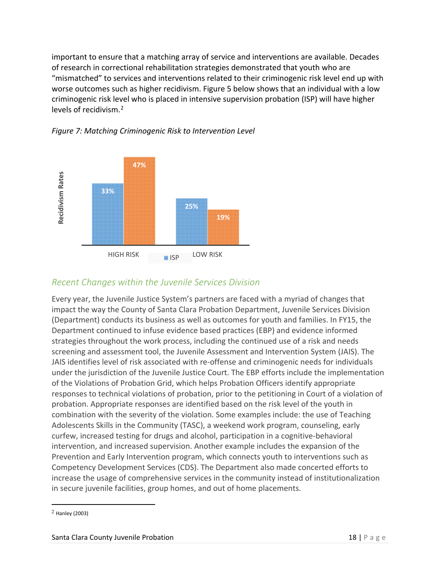important to ensure that a matching array of service and interventions are available. Decades of research in correctional rehabilitation strategies demonstrated that youth who are "mismatched" to services and interventions related to their criminogenic risk level end up with worse outcomes such as higher recidivism. Figure 5 below shows that an individual with a low criminogenic risk level who is placed in intensive supervision probation (ISP) will have higher levels of recidivism.<sup>2</sup>





### *Recent Changes within the Juvenile Services Division*

Every year, the Juvenile Justice System's partners are faced with a myriad of changes that impact the way the County of Santa Clara Probation Department, Juvenile Services Division (Department) conducts its business as well as outcomes for youth and families. In FY15, the Department continued to infuse evidence based practices (EBP) and evidence informed strategies throughout the work process, including the continued use of a risk and needs screening and assessment tool, the Juvenile Assessment and Intervention System (JAIS). The JAIS identifies level of risk associated with re‐offense and criminogenic needs for individuals under the jurisdiction of the Juvenile Justice Court. The EBP efforts include the implementation of the Violations of Probation Grid, which helps Probation Officers identify appropriate responses to technical violations of probation, prior to the petitioning in Court of a violation of probation. Appropriate responses are identified based on the risk level of the youth in combination with the severity of the violation. Some examples include: the use of Teaching Adolescents Skills in the Community (TASC), a weekend work program, counseling, early curfew, increased testing for drugs and alcohol, participation in a cognitive‐behavioral intervention, and increased supervision. Another example includes the expansion of the Prevention and Early Intervention program, which connects youth to interventions such as Competency Development Services (CDS). The Department also made concerted efforts to increase the usage of comprehensive services in the community instead of institutionalization in secure juvenile facilities, group homes, and out of home placements.

<sup>2</sup> Hanley (2003)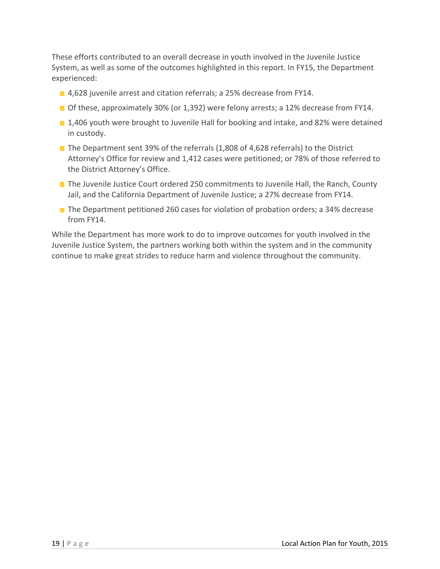These efforts contributed to an overall decrease in youth involved in the Juvenile Justice System, as well as some of the outcomes highlighted in this report. In FY15, the Department experienced:

- 4,628 juvenile arrest and citation referrals; a 25% decrease from FY14.
- $\blacksquare$  Of these, approximately 30% (or 1,392) were felony arrests; a 12% decrease from FY14.
- **1,406 youth were brought to Juvenile Hall for booking and intake, and 82% were detained** in custody.
- The Department sent 39% of the referrals  $(1,808)$  of 4,628 referrals) to the District Attorney's Office for review and 1,412 cases were petitioned; or 78% of those referred to the District Attorney's Office.
- The Juvenile Justice Court ordered 250 commitments to Juvenile Hall, the Ranch, County Jail, and the California Department of Juvenile Justice; a 27% decrease from FY14.
- The Department petitioned 260 cases for violation of probation orders; a 34% decrease from FY14.

While the Department has more work to do to improve outcomes for youth involved in the Juvenile Justice System, the partners working both within the system and in the community continue to make great strides to reduce harm and violence throughout the community.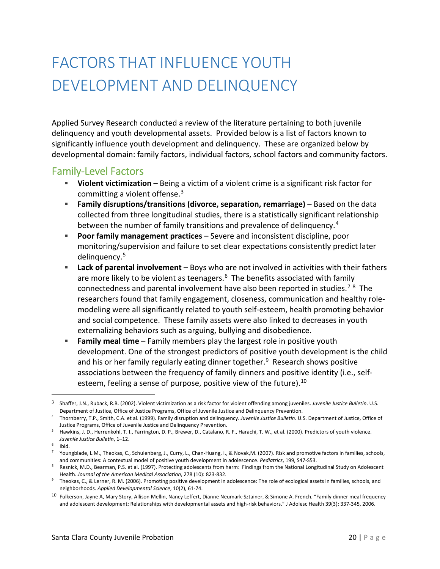# FACTORS THAT INFLUENCE YOUTH DEVELOPMENT AND DELINQUENCY

Applied Survey Research conducted a review of the literature pertaining to both juvenile delinquency and youth developmental assets. Provided below is a list of factors known to significantly influence youth development and delinquency. These are organized below by developmental domain: family factors, individual factors, school factors and community factors.

## Family‐Level Factors

- **Violent victimization** Being a victim of a violent crime is a significant risk factor for committing a violent offense. $3$
- **Family disruptions/transitions (divorce, separation, remarriage)** Based on the data collected from three longitudinal studies, there is a statistically significant relationship between the number of family transitions and prevalence of delinquency.<sup>4</sup>
- **Poor family management practices** Severe and inconsistent discipline, poor monitoring/supervision and failure to set clear expectations consistently predict later delinquency.<sup>5</sup>
- **Lack of parental involvement** Boys who are not involved in activities with their fathers are more likely to be violent as teenagers.<sup>6</sup> The benefits associated with family connectedness and parental involvement have also been reported in studies.<sup>78</sup> The researchers found that family engagement, closeness, communication and healthy role‐ modeling were all significantly related to youth self‐esteem, health promoting behavior and social competence. These family assets were also linked to decreases in youth externalizing behaviors such as arguing, bullying and disobedience.
- **Family meal time** Family members play the largest role in positive youth development. One of the strongest predictors of positive youth development is the child and his or her family regularly eating dinner together.<sup>9</sup> Research shows positive associations between the frequency of family dinners and positive identity (i.e., self‐ esteem, feeling a sense of purpose, positive view of the future).<sup>10</sup>

<sup>3</sup> Shaffer, J.N., Ruback, R.B. (2002). Violent victimization as a risk factor for violent offending among juveniles. *Juvenile Justice Bulletin*. U.S. Department of Justice, Office of Justice Programs, Office of Juvenile Justice and Delinquency Prevention.

<sup>4</sup> Thornberry, T.P., Smith, C.A. et al. (1999). Family disruption and delinquency. *Juvenile Justice Bulletin*. U.S. Department of Justice, Office of Justice Programs, Office of Juvenile Justice and Delinquency Prevention.

<sup>5</sup> Hawkins, J. D., Herrenkohl, T. I., Farrington, D. P., Brewer, D., Catalano, R. F., Harachi, T. W., et al. (2000). Predictors of youth violence. *Juvenile Justice Bulletin*, 1–12.

<sup>&</sup>lt;sup>6</sup> Ibid.

<sup>7</sup> Youngblade, L.M., Theokas, C., Schulenberg, J., Curry, L., Chan‐Huang, I., & Novak,M. (2007). Risk and promotive factors in families, schools, and communities: A contextual model of positive youth development in adolescence. *Pediatrics*, 199, S47‐S53.

<sup>8</sup> Resnick, M.D., Bearman, P.S. et al. (1997). Protecting adolescents from harm: Findings from the National Longitudinal Study on Adolescent Health. *Journal of the American Medical Association*, 278 (10): 823‐832.

<sup>9</sup> Theokas, C., & Lerner, R. M. (2006). Promoting positive development in adolescence: The role of ecological assets in families, schools, and neighborhoods. *Applied Developmental Science*, 10(2), 61‐74.

 $^{10}$  Fulkerson, Jayne A, Mary Story, Allison Mellin, Nancy Leffert, Dianne Neumark-Sztainer, & Simone A. French. "Family dinner meal frequency and adolescent development: Relationships with developmental assets and high‐risk behaviors." J Adolesc Health 39(3): 337‐345, 2006.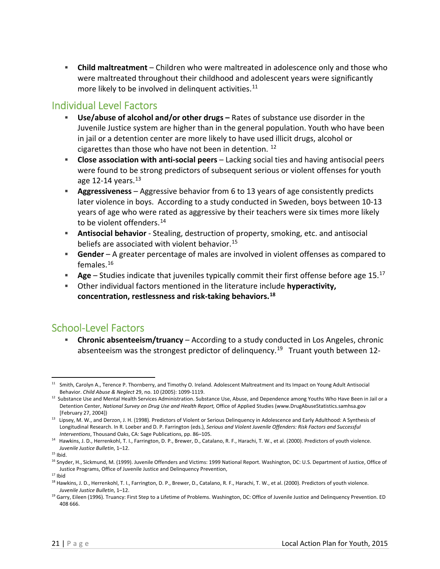**Child maltreatment** – Children who were maltreated in adolescence only and those who were maltreated throughout their childhood and adolescent years were significantly more likely to be involved in delinquent activities.<sup>11</sup>

## Individual Level Factors

- **Use/abuse of alcohol and/or other drugs –** Rates of substance use disorder in the Juvenile Justice system are higher than in the general population. Youth who have been in jail or a detention center are more likely to have used illicit drugs, alcohol or cigarettes than those who have not been in detention.  $^{12}$
- **Close association with anti‐social peers** Lacking social ties and having antisocial peers were found to be strong predictors of subsequent serious or violent offenses for youth age 12-14 years.<sup>13</sup>
- **Aggressiveness** Aggressive behavior from 6 to 13 years of age consistently predicts later violence in boys. According to a study conducted in Sweden, boys between 10‐13 years of age who were rated as aggressive by their teachers were six times more likely to be violent offenders. $^{14}$
- **Antisocial behavior** ‐ Stealing, destruction of property, smoking, etc. and antisocial beliefs are associated with violent behavior.<sup>15</sup>
- **Gender** A greater percentage of males are involved in violent offenses as compared to females. $^{16}$
- **Age** Studies indicate that juveniles typically commit their first offense before age 15.<sup>17</sup>
- Other individual factors mentioned in the literature include **hyperactivity, concentration, restlessness and risk‐taking behaviors.**17F **18**

## School‐Level Factors

 **Chronic absenteeism/truancy** – According to a study conducted in Los Angeles, chronic absenteeism was the strongest predictor of delinquency.<sup>19</sup> Truant youth between 12-

 $11$  Smith, Carolyn A., Terence P. Thornberry, and Timothy O. Ireland. Adolescent Maltreatment and Its Impact on Young Adult Antisocial Behavior. *Child Abuse & Neglect* 29, no. 10 (2005): 1099‐1119.

 $12$  Substance Use and Mental Health Services Administration. Substance Use, Abuse, and Dependence among Youths Who Have Been in Jail or a Detention Center, *National Survey on Drug Use and Health Report,* Office of Applied Studies (www.DrugAbuseStatistics.samhsa.gov [February 27, 2004])

<sup>13</sup> Lipsey, M. W., and Derzon, J. H. (1998). Predictors of Violent or Serious Delinquency in Adolescence and Early Adulthood: A Synthesis of Longitudinal Research. In R. Loeber and D. P. Farrington (eds.), *Serious and Violent Juvenile Offenders: Risk Factors and Successful Interventions*, Thousand Oaks, CA: Sage Publications, pp. 86–105.

<sup>&</sup>lt;sup>14</sup> Hawkins, J. D., Herrenkohl, T. I., Farrington, D. P., Brewer, D., Catalano, R. F., Harachi, T. W., et al. (2000). Predictors of youth violence. *Juvenile Justice Bulletin*, 1–12.

 $15$  Ibid.

<sup>16</sup> Snyder, H., Sickmund, M*.* (1999). Juvenile Offenders and Victims: 1999 National Report. Washington, DC: U.S. Department of Justice, Office of Justice Programs, Office of Juvenile Justice and Delinquency Prevention,

 $17$  Ibid

<sup>&</sup>lt;sup>18</sup> Hawkins, J. D., Herrenkohl, T. I., Farrington, D. P., Brewer, D., Catalano, R. F., Harachi, T. W., et al. (2000). Predictors of youth violence. *Juvenile Justice Bulletin*, 1–12.

<sup>&</sup>lt;sup>19</sup> Garry, Eileen (1996). Truancy: First Step to a Lifetime of Problems. Washington, DC: Office of Juvenile Justice and Delinquency Prevention. ED 408 666.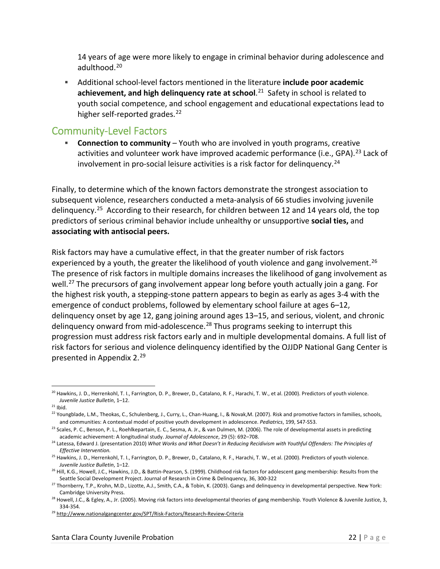14 years of age were more likely to engage in criminal behavior during adolescence and adulthood.<sup>20</sup>

 Additional school‐level factors mentioned in the literature **include poor academic achievement, and high delinquency rate at school.<sup>21</sup> Safety in school is related to** youth social competence, and school engagement and educational expectations lead to higher self-reported grades.<sup>22</sup>

## Community‐Level Factors

 **Connection to community** – Youth who are involved in youth programs, creative activities and volunteer work have improved academic performance (i.e., GPA).<sup>23</sup> Lack of involvement in pro-social leisure activities is a risk factor for delinquency.<sup>24</sup>

Finally, to determine which of the known factors demonstrate the strongest association to subsequent violence, researchers conducted a meta-analysis of 66 studies involving juvenile delinquency.<sup>25</sup> According to their research, for children between 12 and 14 years old, the top predictors of serious criminal behavior include unhealthy or unsupportive **social ties,** and **associating with antisocial peers.** 

Risk factors may have a cumulative effect, in that the greater number of risk factors experienced by a youth, the greater the likelihood of youth violence and gang involvement.<sup>26</sup> The presence of risk factors in multiple domains increases the likelihood of gang involvement as well.<sup>27</sup> The precursors of gang involvement appear long before youth actually join a gang. For the highest risk youth, a stepping‐stone pattern appears to begin as early as ages 3‐4 with the emergence of conduct problems, followed by elementary school failure at ages 6–12, delinquency onset by age 12, gang joining around ages 13–15, and serious, violent, and chronic delinquency onward from mid-adolescence.<sup>28</sup> Thus programs seeking to interrupt this progression must address risk factors early and in multiple developmental domains. A full list of risk factors for serious and violence delinquency identified by the OJJDP National Gang Center is presented in Appendix 2.<sup>29</sup>

<sup>&</sup>lt;sup>20</sup> Hawkins, J. D., Herrenkohl, T. I., Farrington, D. P., Brewer, D., Catalano, R. F., Harachi, T. W., et al. (2000). Predictors of youth violence. *Juvenile Justice Bulletin*, 1–12.

 $21$  Ibid.

<sup>&</sup>lt;sup>22</sup> Youngblade, L.M., Theokas, C., Schulenberg, J., Curry, L., Chan-Huang, I., & Novak,M. (2007). Risk and promotive factors in families, schools, and communities: A contextual model of positive youth development in adolescence. *Pediatrics*, 199, S47‐S53.

<sup>&</sup>lt;sup>23</sup> Scales, P. C., Benson, P. L., Roehlkepartain, E. C., Sesma, A. Jr., & van Dulmen, M. (2006). The role of developmental assets in predicting academic achievement: A longitudinal study. *Journal of Adolescence*, 29 (5): 692–708.

<sup>&</sup>lt;sup>24</sup> Latessa, Edward J. (presentation 2010) What Works and What Doesn't in Reducing Recidivism with Youthful Offenders: The Principles of *Effective Intervention.*

<sup>&</sup>lt;sup>25</sup> Hawkins, J. D., Herrenkohl, T. I., Farrington, D. P., Brewer, D., Catalano, R. F., Harachi, T. W., et al. (2000). Predictors of youth violence. *Juvenile Justice Bulletin*, 1–12.

<sup>&</sup>lt;sup>26</sup> Hill, K.G., Howell, J.C., Hawkins, J.D., & Battin-Pearson, S. (1999). Childhood risk factors for adolescent gang membership: Results from the Seattle Social Development Project. Journal of Research in Crime & Delinquency, 36, 300‐322

<sup>&</sup>lt;sup>27</sup> Thornberry, T.P., Krohn, M.D., Lizotte, A.J., Smith, C.A., & Tobin, K. (2003). Gangs and delinquency in developmental perspective. New York: Cambridge University Press.

<sup>&</sup>lt;sup>28</sup> Howell, J.C., & Egley, A., Jr. (2005). Moving risk factors into developmental theories of gang membership. Youth Violence & Juvenile Justice, 3, 334‐354.

<sup>29</sup> http://www.nationalgangcenter.gov/SPT/Risk‐Factors/Research‐Review‐Criteria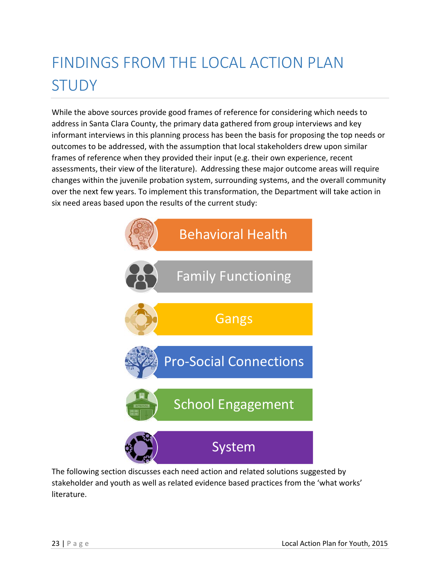# FINDINGS FROM THE LOCAL ACTION PLAN STUDY

While the above sources provide good frames of reference for considering which needs to address in Santa Clara County, the primary data gathered from group interviews and key informant interviews in this planning process has been the basis for proposing the top needs or outcomes to be addressed, with the assumption that local stakeholders drew upon similar frames of reference when they provided their input (e.g. their own experience, recent assessments, their view of the literature). Addressing these major outcome areas will require changes within the juvenile probation system, surrounding systems, and the overall community over the next few years. To implement this transformation, the Department will take action in six need areas based upon the results of the current study:



The following section discusses each need action and related solutions suggested by stakeholder and youth as well as related evidence based practices from the 'what works' literature.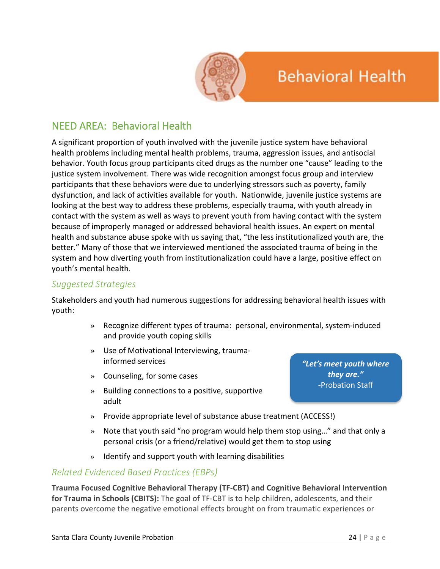

## **Behavioral Health**

## NEED AREA: Behavioral Health

A significant proportion of youth involved with the juvenile justice system have behavioral health problems including mental health problems, trauma, aggression issues, and antisocial behavior. Youth focus group participants cited drugs as the number one "cause" leading to the justice system involvement. There was wide recognition amongst focus group and interview participants that these behaviors were due to underlying stressors such as poverty, family dysfunction, and lack of activities available for youth. Nationwide, juvenile justice systems are looking at the best way to address these problems, especially trauma, with youth already in contact with the system as well as ways to prevent youth from having contact with the system because of improperly managed or addressed behavioral health issues. An expert on mental health and substance abuse spoke with us saying that, "the less institutionalized youth are, the better." Many of those that we interviewed mentioned the associated trauma of being in the system and how diverting youth from institutionalization could have a large, positive effect on youth's mental health.

### *Suggested Strategies*

Stakeholders and youth had numerous suggestions for addressing behavioral health issues with youth:

- » Recognize different types of trauma: personal, environmental, system‐induced and provide youth coping skills
- » Use of Motivational Interviewing, trauma‐ informed services
- » Counseling, for some cases
- » Building connections to a positive, supportive adult

*"Let's meet youth where they are."* **‐**Probation Staff

- » Provide appropriate level of substance abuse treatment (ACCESS!)
- » Note that youth said "no program would help them stop using…" and that only a personal crisis (or a friend/relative) would get them to stop using
- » Identify and support youth with learning disabilities

### *Related Evidenced Based Practices (EBPs)*

**Trauma Focused Cognitive Behavioral Therapy (TF‐CBT) and Cognitive Behavioral Intervention for Trauma in Schools (CBITS):** The goal of TF‐CBT is to help children, adolescents, and their parents overcome the negative emotional effects brought on from traumatic experiences or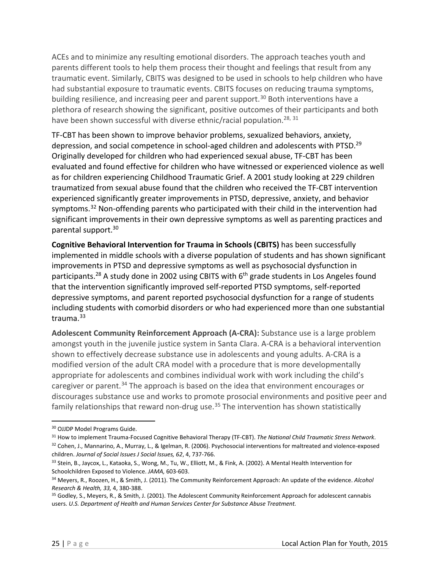ACEs and to minimize any resulting emotional disorders. The approach teaches youth and parents different tools to help them process their thought and feelings that result from any traumatic event. Similarly, CBITS was designed to be used in schools to help children who have had substantial exposure to traumatic events. CBITS focuses on reducing trauma symptoms, building resilience, and increasing peer and parent support.<sup>30</sup> Both interventions have a plethora of research showing the significant, positive outcomes of their participants and both have been shown successful with diverse ethnic/racial population.<sup>28, 31</sup>

TF‐CBT has been shown to improve behavior problems, sexualized behaviors, anxiety, depression, and social competence in school-aged children and adolescents with PTSD.<sup>29</sup> Originally developed for children who had experienced sexual abuse, TF‐CBT has been evaluated and found effective for children who have witnessed or experienced violence as well as for children experiencing Childhood Traumatic Grief. A 2001 study looking at 229 children traumatized from sexual abuse found that the children who received the TF‐CBT intervention experienced significantly greater improvements in PTSD, depressive, anxiety, and behavior symptoms.<sup>32</sup> Non-offending parents who participated with their child in the intervention had significant improvements in their own depressive symptoms as well as parenting practices and parental support.30

**Cognitive Behavioral Intervention for Trauma in Schools (CBITS)** has been successfully implemented in middle schools with a diverse population of students and has shown significant improvements in PTSD and depressive symptoms as well as psychosocial dysfunction in participants.<sup>28</sup> A study done in 2002 using CBITS with  $6<sup>th</sup>$  grade students in Los Angeles found that the intervention significantly improved self‐reported PTSD symptoms, self‐reported depressive symptoms, and parent reported psychosocial dysfunction for a range of students including students with comorbid disorders or who had experienced more than one substantial trauma.<sup>33</sup>

**Adolescent Community Reinforcement Approach (A‐CRA):** Substance use is a large problem amongst youth in the juvenile justice system in Santa Clara. A‐CRA is a behavioral intervention shown to effectively decrease substance use in adolescents and young adults. A‐CRA is a modified version of the adult CRA model with a procedure that is more developmentally appropriate for adolescents and combines individual work with work including the child's caregiver or parent.<sup>34</sup> The approach is based on the idea that environment encourages or discourages substance use and works to promote prosocial environments and positive peer and family relationships that reward non-drug use.<sup>35</sup> The intervention has shown statistically

<sup>30</sup> OJJDP Model Programs Guide.

<sup>31</sup> How to implement Trauma‐Focused Cognitive Behavioral Therapy (TF‐CBT). *The National Child Traumatic Stress Network*.

<sup>32</sup> Cohen, J., Mannarino, A., Murray, L., & Igelman, R. (2006). Psychosocial interventions for maltreated and violence-exposed children. *Journal of Social Issues J Social Issues, 62*, 4, 737‐766.

<sup>33</sup> Stein, B., Jaycox, L., Kataoka, S., Wong, M., Tu, W., Elliott, M., & Fink, A. (2002). A Mental Health Intervention for Schoolchildren Exposed to Violence. *JAMA,* 603‐603.

<sup>34</sup> Meyers, R., Roozen, H., & Smith, J. (2011). The Community Reinforcement Approach: An update of the evidence. *Alcohol Research & Health, 33,* 4, 380‐388.

<sup>&</sup>lt;sup>35</sup> Godley, S., Meyers, R., & Smith, J. (2001). The Adolescent Community Reinforcement Approach for adolescent cannabis users. *U.S. Department of Health and Human Services Center for Substance Abuse Treatment.*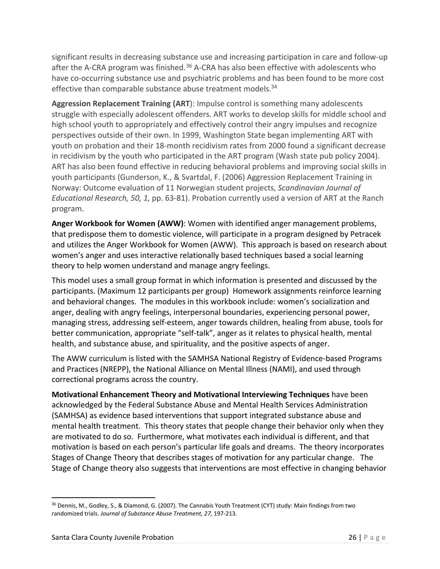significant results in decreasing substance use and increasing participation in care and follow-up after the A-CRA program was finished.<sup>36</sup> A-CRA has also been effective with adolescents who have co-occurring substance use and psychiatric problems and has been found to be more cost effective than comparable substance abuse treatment models.<sup>34</sup>

**Aggression Replacement Training (ART**): Impulse control is something many adolescents struggle with especially adolescent offenders. ART works to develop skills for middle school and high school youth to appropriately and effectively control their angry impulses and recognize perspectives outside of their own. In 1999, Washington State began implementing ART with youth on probation and their 18‐month recidivism rates from 2000 found a significant decrease in recidivism by the youth who participated in the ART program (Wash state pub policy 2004). ART has also been found effective in reducing behavioral problems and improving social skills in youth participants (Gunderson, K., & Svartdal, F. (2006) Aggression Replacement Training in Norway: Outcome evaluation of 11 Norwegian student projects, *Scandinavian Journal of Educational Research, 50, 1,* pp. 63‐81). Probation currently used a version of ART at the Ranch program.

**Anger Workbook for Women (AWW)**: Women with identified anger management problems, that predispose them to domestic violence, will participate in a program designed by Petracek and utilizes the Anger Workbook for Women (AWW). This approach is based on research about women's anger and uses interactive relationally based techniques based a social learning theory to help women understand and manage angry feelings.

This model uses a small group format in which information is presented and discussed by the participants. (Maximum 12 participants per group) Homework assignments reinforce learning and behavioral changes. The modules in this workbook include: women's socialization and anger, dealing with angry feelings, interpersonal boundaries, experiencing personal power, managing stress, addressing self‐esteem, anger towards children, healing from abuse, tools for better communication, appropriate "self-talk", anger as it relates to physical health, mental health, and substance abuse, and spirituality, and the positive aspects of anger.

The AWW curriculum is listed with the SAMHSA National Registry of Evidence‐based Programs and Practices (NREPP), the National Alliance on Mental Illness (NAMI), and used through correctional programs across the country.

**Motivational Enhancement Theory and Motivational Interviewing Techniques** have been acknowledged by the Federal Substance Abuse and Mental Health Services Administration (SAMHSA) as evidence based interventions that support integrated substance abuse and mental health treatment. This theory states that people change their behavior only when they are motivated to do so. Furthermore, what motivates each individual is different, and that motivation is based on each person's particular life goals and dreams. The theory incorporates Stages of Change Theory that describes stages of motivation for any particular change. The Stage of Change theory also suggests that interventions are most effective in changing behavior

<sup>&</sup>lt;sup>36</sup> Dennis, M., Godley, S., & Diamond, G. (2007). The Cannabis Youth Treatment (CYT) study: Main findings from two randomized trials. *Journal of Substance Abuse Treatment, 27,* 197‐213.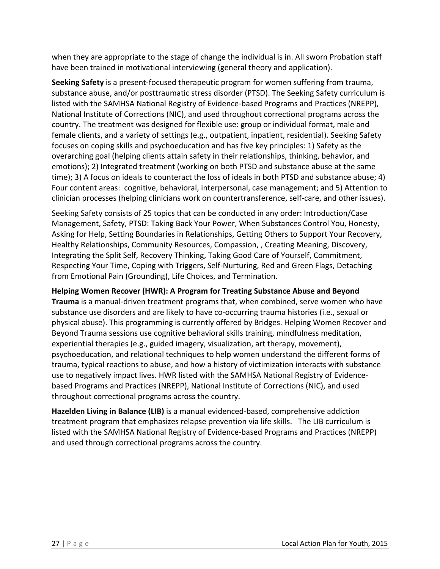when they are appropriate to the stage of change the individual is in. All sworn Probation staff have been trained in motivational interviewing (general theory and application).

**Seeking Safety** is a present‐focused therapeutic program for women suffering from trauma, substance abuse, and/or posttraumatic stress disorder (PTSD). The Seeking Safety curriculum is listed with the SAMHSA National Registry of Evidence‐based Programs and Practices (NREPP), National Institute of Corrections (NIC), and used throughout correctional programs across the country. The treatment was designed for flexible use: group or individual format, male and female clients, and a variety of settings (e.g., outpatient, inpatient, residential). Seeking Safety focuses on coping skills and psychoeducation and has five key principles: 1) Safety as the overarching goal (helping clients attain safety in their relationships, thinking, behavior, and emotions); 2) Integrated treatment (working on both PTSD and substance abuse at the same time); 3) A focus on ideals to counteract the loss of ideals in both PTSD and substance abuse; 4) Four content areas: cognitive, behavioral, interpersonal, case management; and 5) Attention to clinician processes (helping clinicians work on countertransference, self‐care, and other issues).

Seeking Safety consists of 25 topics that can be conducted in any order: Introduction/Case Management, Safety, PTSD: Taking Back Your Power, When Substances Control You, Honesty, Asking for Help, Setting Boundaries in Relationships, Getting Others to Support Your Recovery, Healthy Relationships, Community Resources, Compassion, , Creating Meaning, Discovery, Integrating the Split Self, Recovery Thinking, Taking Good Care of Yourself, Commitment, Respecting Your Time, Coping with Triggers, Self‐Nurturing, Red and Green Flags, Detaching from Emotional Pain (Grounding), Life Choices, and Termination.

**Helping Women Recover (HWR): A Program for Treating Substance Abuse and Beyond Trauma** is a manual‐driven treatment programs that, when combined, serve women who have substance use disorders and are likely to have co-occurring trauma histories (i.e., sexual or physical abuse). This programming is currently offered by Bridges. Helping Women Recover and Beyond Trauma sessions use cognitive behavioral skills training, mindfulness meditation, experiential therapies (e.g., guided imagery, visualization, art therapy, movement), psychoeducation, and relational techniques to help women understand the different forms of trauma, typical reactions to abuse, and how a history of victimization interacts with substance use to negatively impact lives. HWR listed with the SAMHSA National Registry of Evidence‐ based Programs and Practices (NREPP), National Institute of Corrections (NIC), and used throughout correctional programs across the country.

**Hazelden Living in Balance (LIB)** is a manual evidenced‐based, comprehensive addiction treatment program that emphasizes relapse prevention via life skills. The LIB curriculum is listed with the SAMHSA National Registry of Evidence‐based Programs and Practices (NREPP) and used through correctional programs across the country.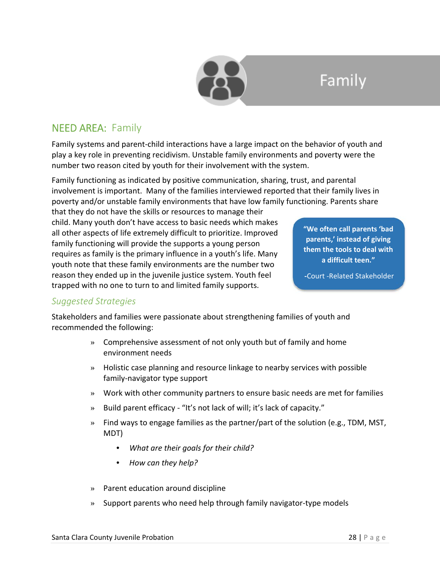

## Family

## NEED AREA: Family

Family systems and parent‐child interactions have a large impact on the behavior of youth and play a key role in preventing recidivism. Unstable family environments and poverty were the number two reason cited by youth for their involvement with the system.

Family functioning as indicated by positive communication, sharing, trust, and parental involvement is important. Many of the families interviewed reported that their family lives in poverty and/or unstable family environments that have low family functioning. Parents share

that they do not have the skills or resources to manage their child. Many youth don't have access to basic needs which makes all other aspects of life extremely difficult to prioritize. Improved family functioning will provide the supports a young person requires as family is the primary influence in a youth's life. Many youth note that these family environments are the number two reason they ended up in the juvenile justice system. Youth feel trapped with no one to turn to and limited family supports.

**"We often call parents 'bad parents,' instead of giving them the tools to deal with a difficult teen."** 

**‐**Court ‐Related Stakeholder

### *Suggested Strategies*

Stakeholders and families were passionate about strengthening families of youth and recommended the following:

- » Comprehensive assessment of not only youth but of family and home environment needs
- » Holistic case planning and resource linkage to nearby services with possible family‐navigator type support
- » Work with other community partners to ensure basic needs are met for families
- » Build parent efficacy ‐ "It's not lack of will; it's lack of capacity."
- » Find ways to engage families as the partner/part of the solution (e.g., TDM, MST, MDT)
	- *What are their goals for their child?*
	- *How can they help?*
- » Parent education around discipline
- » Support parents who need help through family navigator‐type models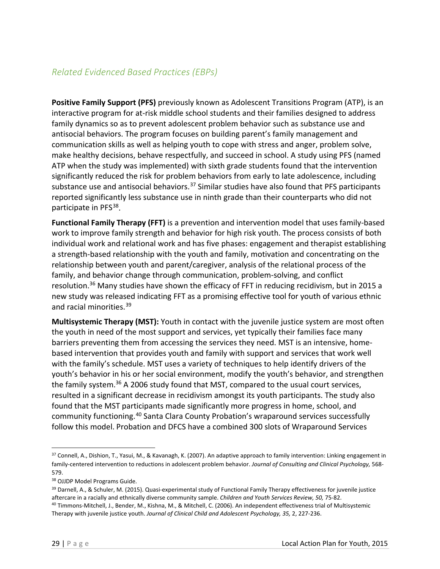## *Related Evidenced Based Practices (EBPs)*

**Positive Family Support (PFS)** previously known as Adolescent Transitions Program (ATP), is an interactive program for at-risk middle school students and their families designed to address family dynamics so as to prevent adolescent problem behavior such as substance use and antisocial behaviors. The program focuses on building parent's family management and communication skills as well as helping youth to cope with stress and anger, problem solve, make healthy decisions, behave respectfully, and succeed in school. A study using PFS (named ATP when the study was implemented) with sixth grade students found that the intervention significantly reduced the risk for problem behaviors from early to late adolescence, including substance use and antisocial behaviors.<sup>37</sup> Similar studies have also found that PFS participants reported significantly less substance use in ninth grade than their counterparts who did not participate in PFS<sup>38</sup>.

**Functional Family Therapy (FFT)** is a prevention and intervention model that uses family‐based work to improve family strength and behavior for high risk youth. The process consists of both individual work and relational work and has five phases: engagement and therapist establishing a strength‐based relationship with the youth and family, motivation and concentrating on the relationship between youth and parent/caregiver, analysis of the relational process of the family, and behavior change through communication, problem‐solving, and conflict resolution.<sup>36</sup> Many studies have shown the efficacy of FFT in reducing recidivism, but in 2015 a new study was released indicating FFT as a promising effective tool for youth of various ethnic and racial minorities.<sup>39</sup>

**Multisystemic Therapy (MST):** Youth in contact with the juvenile justice system are most often the youth in need of the most support and services, yet typically their families face many barriers preventing them from accessing the services they need. MST is an intensive, home‐ based intervention that provides youth and family with support and services that work well with the family's schedule. MST uses a variety of techniques to help identify drivers of the youth's behavior in his or her social environment, modify the youth's behavior, and strengthen the family system.<sup>36</sup> A 2006 study found that MST, compared to the usual court services, resulted in a significant decrease in recidivism amongst its youth participants. The study also found that the MST participants made significantly more progress in home, school, and community functioning.<sup>40</sup> Santa Clara County Probation's wraparound services successfully follow this model. Probation and DFCS have a combined 300 slots of Wraparound Services

<sup>37</sup> Connell, A., Dishion, T., Yasui, M., & Kavanagh, K. (2007). An adaptive approach to family intervention: Linking engagement in family‐centered intervention to reductions in adolescent problem behavior. *Journal of Consulting and Clinical Psychology,* 568‐ 579.

<sup>38</sup> OJJDP Model Programs Guide.

<sup>39</sup> Darnell, A., & Schuler, M. (2015). Quasi-experimental study of Functional Family Therapy effectiveness for juvenile justice aftercare in a racially and ethnically diverse community sample. *Children and Youth Services Review, 50,* 75‐82. <sup>40</sup> Timmons‐Mitchell, J., Bender, M., Kishna, M., & Mitchell, C. (2006). An independent effectiveness trial of Multisystemic

Therapy with juvenile justice youth. *Journal of Clinical Child and Adolescent Psychology, 35,* 2, 227‐236.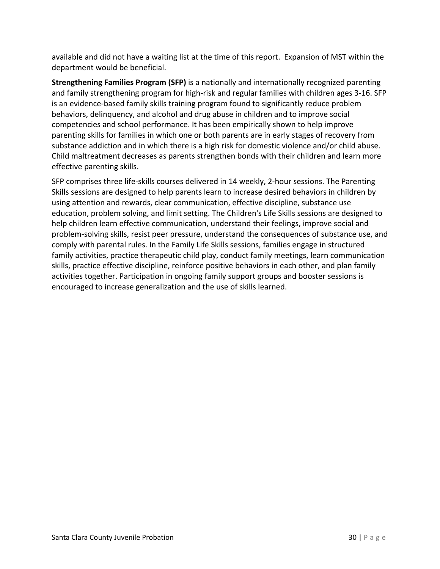available and did not have a waiting list at the time of this report. Expansion of MST within the department would be beneficial.

**Strengthening Families Program (SFP)** is a nationally and internationally recognized parenting and family strengthening program for high-risk and regular families with children ages 3-16. SFP is an evidence‐based family skills training program found to significantly reduce problem behaviors, delinquency, and alcohol and drug abuse in children and to improve social competencies and school performance. It has been empirically shown to help improve parenting skills for families in which one or both parents are in early stages of recovery from substance addiction and in which there is a high risk for domestic violence and/or child abuse. Child maltreatment decreases as parents strengthen bonds with their children and learn more effective parenting skills.

SFP comprises three life‐skills courses delivered in 14 weekly, 2‐hour sessions. The Parenting Skills sessions are designed to help parents learn to increase desired behaviors in children by using attention and rewards, clear communication, effective discipline, substance use education, problem solving, and limit setting. The Children's Life Skills sessions are designed to help children learn effective communication, understand their feelings, improve social and problem‐solving skills, resist peer pressure, understand the consequences of substance use, and comply with parental rules. In the Family Life Skills sessions, families engage in structured family activities, practice therapeutic child play, conduct family meetings, learn communication skills, practice effective discipline, reinforce positive behaviors in each other, and plan family activities together. Participation in ongoing family support groups and booster sessions is encouraged to increase generalization and the use of skills learned.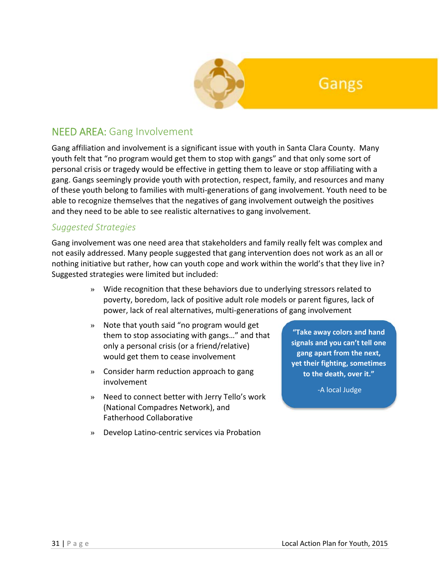

## Gangs

## NEED AREA: Gang Involvement

Gang affiliation and involvement is a significant issue with youth in Santa Clara County. Many youth felt that "no program would get them to stop with gangs" and that only some sort of personal crisis or tragedy would be effective in getting them to leave or stop affiliating with a gang. Gangs seemingly provide youth with protection, respect, family, and resources and many of these youth belong to families with multi‐generations of gang involvement. Youth need to be able to recognize themselves that the negatives of gang involvement outweigh the positives and they need to be able to see realistic alternatives to gang involvement.

### *Suggested Strategies*

Gang involvement was one need area that stakeholders and family really felt was complex and not easily addressed. Many people suggested that gang intervention does not work as an all or nothing initiative but rather, how can youth cope and work within the world's that they live in? Suggested strategies were limited but included:

- » Wide recognition that these behaviors due to underlying stressors related to poverty, boredom, lack of positive adult role models or parent figures, lack of power, lack of real alternatives, multi‐generations of gang involvement
- » Note that youth said "no program would get them to stop associating with gangs…" and that only a personal crisis (or a friend/relative) would get them to cease involvement
- » Consider harm reduction approach to gang involvement
- » Need to connect better with Jerry Tello's work (National Compadres Network), and Fatherhood Collaborative
- » Develop Latino‐centric services via Probation

**"Take away colors and hand signals and you can't tell one gang apart from the next, yet their fighting, sometimes to the death, over it."**

‐A local Judge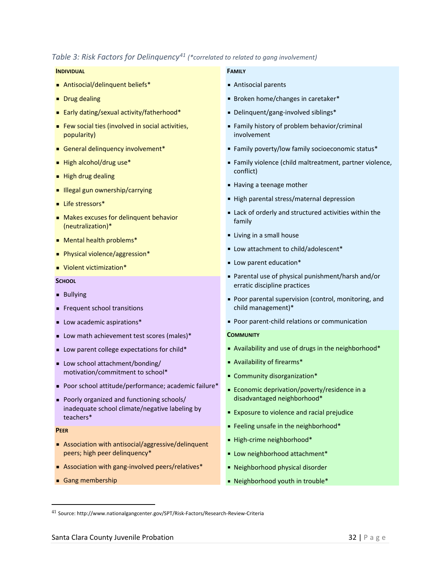#### *Table 3: Risk Factors for Delinquency*<sup>41</sup> (\*correlated to related to gang *involvement*)

#### **INDIVIDUAL**

- Antisocial/delinquent beliefs\*
- **Drug dealing**
- Early dating/sexual activity/fatherhood\*
- Few social ties (involved in social activities, popularity)
- General delinquency involvement\*
- High alcohol/drug use\*
- $\blacksquare$  High drug dealing
- **Illegal gun ownership/carrying**
- Life stressors\*
- Makes excuses for delinquent behavior (neutralization)\*
- Mental health problems\*
- Physical violence/aggression\*
- Violent victimization<sup>\*</sup>

#### **SCHOOL**

- **Bullying**
- **Frequent school transitions**
- **Low academic aspirations\***
- **Low math achievement test scores (males)\***
- Low parent college expectations for child\*
- Low school attachment/bonding/ motivation/commitment to school\*
- Poor school attitude/performance; academic failure\*
- Poorly organized and functioning schools/ inadequate school climate/negative labeling by teachers\*

#### **PEER**

- Association with antisocial/aggressive/delinquent peers; high peer delinquency\*
- Association with gang-involved peers/relatives<sup>\*</sup>
- Gang membership

#### **FAMILY**

- Antisocial parents
- Broken home/changes in caretaker\*
- Delinquent/gang-involved siblings<sup>\*</sup>
- Family history of problem behavior/criminal involvement
- Family poverty/low family socioeconomic status\*
- Family violence (child maltreatment, partner violence, conflict)
- Having <sup>a</sup> teenage mother
- High parental stress/maternal depression
- Lack of orderly and structured activities within the family
- **Living in a small house**
- Low attachment to child/adolescent\*
- **Low parent education\***
- Parental use of physical punishment/harsh and/or erratic discipline practices
- Poor parental supervision (control, monitoring, and child management)\*
- Poor parent-child relations or communication

#### **COMMUNITY**

- Availability and use of drugs in the neighborhood\*
- Availability of firearms\*
- Community disorganization\*
- Economic deprivation/poverty/residence in <sup>a</sup> disadvantaged neighborhood\*
- **Exposure to violence and racial prejudice**
- Feeling unsafe in the neighborhood\*
- High-crime neighborhood\*
- **Low neighborhood attachment\***
- Neighborhood physical disorder
- Neighborhood youth in trouble\*

<sup>41</sup> Source: http://www.nationalgangcenter.gov/SPT/Risk‐Factors/Research‐Review‐Criteria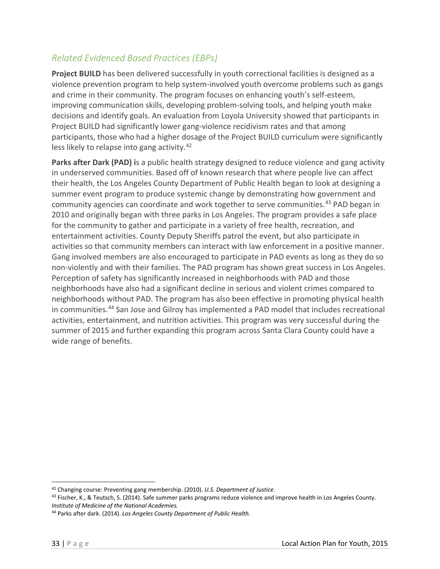## *Related Evidenced Based Practices (EBPs)*

**Project BUILD** has been delivered successfully in youth correctional facilities is designed as a violence prevention program to help system‐involved youth overcome problems such as gangs and crime in their community. The program focuses on enhancing youth's self‐esteem, improving communication skills, developing problem‐solving tools, and helping youth make decisions and identify goals. An evaluation from Loyola University showed that participants in Project BUILD had significantly lower gang‐violence recidivism rates and that among participants, those who had a higher dosage of the Project BUILD curriculum were significantly less likely to relapse into gang activity.<sup>42</sup>

**Parks after Dark (PAD) i**s a public health strategy designed to reduce violence and gang activity in underserved communities. Based off of known research that where people live can affect their health, the Los Angeles County Department of Public Health began to look at designing a summer event program to produce systemic change by demonstrating how government and community agencies can coordinate and work together to serve communities.<sup>43</sup> PAD began in 2010 and originally began with three parks in Los Angeles. The program provides a safe place for the community to gather and participate in a variety of free health, recreation, and entertainment activities. County Deputy Sheriffs patrol the event, but also participate in activities so that community members can interact with law enforcement in a positive manner. Gang involved members are also encouraged to participate in PAD events as long as they do so non‐violently and with their families. The PAD program has shown great success in Los Angeles. Perception of safety has significantly increased in neighborhoods with PAD and those neighborhoods have also had a significant decline in serious and violent crimes compared to neighborhoods without PAD. The program has also been effective in promoting physical health in communities.<sup>44</sup> San Jose and Gilroy has implemented a PAD model that includes recreational activities, entertainment, and nutrition activities. This program was very successful during the summer of 2015 and further expanding this program across Santa Clara County could have a wide range of benefits.

<sup>42</sup> Changing course: Preventing gang membership. (2010). *U.S. Department of Justice.*

<sup>43</sup> Fischer, K., & Teutsch, S. (2014). Safe summer parks programs reduce violence and improve health in Los Angeles County. *Institute of Medicine of the National Academies.*

<sup>44</sup> Parks after dark. (2014). *Los Angeles County Department of Public Health.*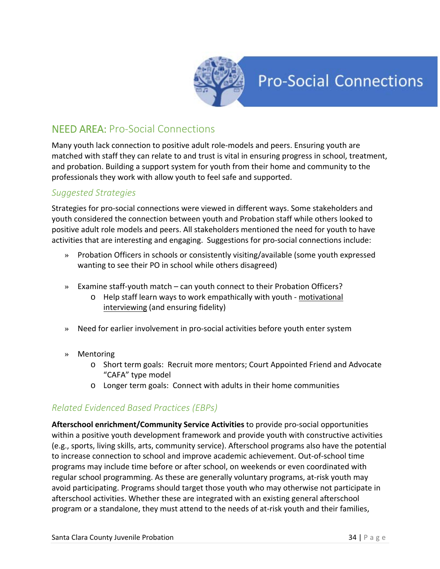

## **Pro-Social Connections**

## NEED AREA: Pro‐Social Connections

Many youth lack connection to positive adult role‐models and peers. Ensuring youth are matched with staff they can relate to and trust is vital in ensuring progress in school, treatment, and probation. Building a support system for youth from their home and community to the professionals they work with allow youth to feel safe and supported.

### *Suggested Strategies*

Strategies for pro‐social connections were viewed in different ways. Some stakeholders and youth considered the connection between youth and Probation staff while others looked to positive adult role models and peers. All stakeholders mentioned the need for youth to have activities that are interesting and engaging. Suggestions for pro‐social connections include:

- » Probation Officers in schools or consistently visiting/available (some youth expressed wanting to see their PO in school while others disagreed)
- » Examine staff‐youth match can youth connect to their Probation Officers?
	- o Help staff learn ways to work empathically with youth ‐ motivational interviewing (and ensuring fidelity)
- » Need for earlier involvement in pro‐social activities before youth enter system
- » Mentoring
	- o Short term goals: Recruit more mentors; Court Appointed Friend and Advocate "CAFA" type model
	- o Longer term goals: Connect with adults in their home communities

### *Related Evidenced Based Practices (EBPs)*

**Afterschool enrichment/Community Service Activities** to provide pro‐social opportunities within a positive youth development framework and provide youth with constructive activities (e.g., sports, living skills, arts, community service). Afterschool programs also have the potential to increase connection to school and improve academic achievement. Out‐of‐school time programs may include time before or after school, on weekends or even coordinated with regular school programming. As these are generally voluntary programs, at‐risk youth may avoid participating. Programs should target those youth who may otherwise not participate in afterschool activities. Whether these are integrated with an existing general afterschool program or a standalone, they must attend to the needs of at‐risk youth and their families,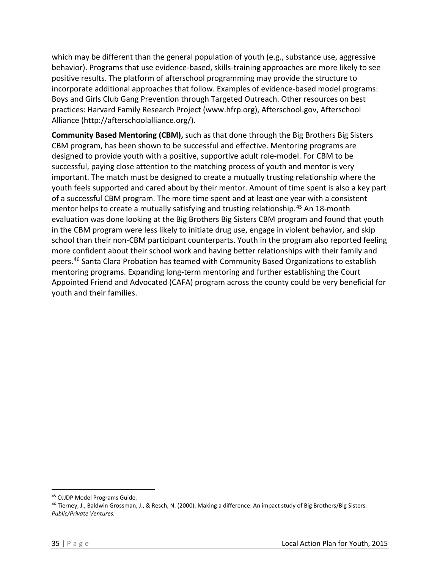which may be different than the general population of youth (e.g., substance use, aggressive behavior). Programs that use evidence-based, skills-training approaches are more likely to see positive results. The platform of afterschool programming may provide the structure to incorporate additional approaches that follow. Examples of evidence‐based model programs: Boys and Girls Club Gang Prevention through Targeted Outreach. Other resources on best practices: Harvard Family Research Project (www.hfrp.org), Afterschool.gov, Afterschool Alliance (http://afterschoolalliance.org/).

**Community Based Mentoring (CBM),** such as that done through the Big Brothers Big Sisters CBM program, has been shown to be successful and effective. Mentoring programs are designed to provide youth with a positive, supportive adult role‐model. For CBM to be successful, paying close attention to the matching process of youth and mentor is very important. The match must be designed to create a mutually trusting relationship where the youth feels supported and cared about by their mentor. Amount of time spent is also a key part of a successful CBM program. The more time spent and at least one year with a consistent mentor helps to create a mutually satisfying and trusting relationship.<sup>45</sup> An 18-month evaluation was done looking at the Big Brothers Big Sisters CBM program and found that youth in the CBM program were less likely to initiate drug use, engage in violent behavior, and skip school than their non-CBM participant counterparts. Youth in the program also reported feeling more confident about their school work and having better relationships with their family and peers.<sup>46</sup> Santa Clara Probation has teamed with Community Based Organizations to establish mentoring programs. Expanding long‐term mentoring and further establishing the Court Appointed Friend and Advocated (CAFA) program across the county could be very beneficial for youth and their families.

<sup>45</sup> OJJDP Model Programs Guide.

<sup>46</sup> Tierney, J., Baldwin Grossman, J., & Resch, N. (2000). Making a difference: An impact study of Big Brothers/Big Sisters. *Public/Private Ventures.*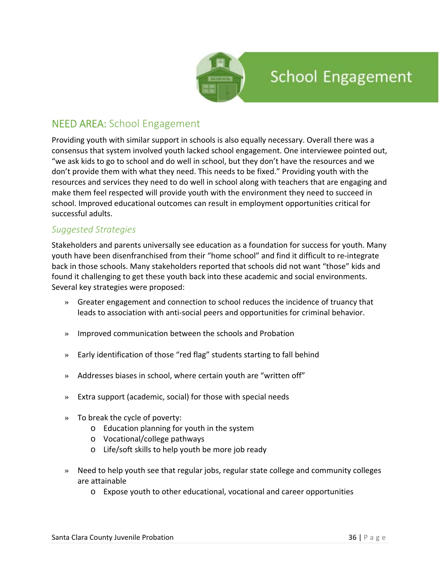

## NEED AREA: School Engagement

Providing youth with similar support in schools is also equally necessary. Overall there was a consensus that system involved youth lacked school engagement. One interviewee pointed out, "we ask kids to go to school and do well in school, but they don't have the resources and we don't provide them with what they need. This needs to be fixed." Providing youth with the resources and services they need to do well in school along with teachers that are engaging and make them feel respected will provide youth with the environment they need to succeed in school. Improved educational outcomes can result in employment opportunities critical for successful adults.

### *Suggested Strategies*

Stakeholders and parents universally see education as a foundation for success for youth. Many youth have been disenfranchised from their "home school" and find it difficult to re‐integrate back in those schools. Many stakeholders reported that schools did not want "those" kids and found it challenging to get these youth back into these academic and social environments. Several key strategies were proposed:

- » Greater engagement and connection to school reduces the incidence of truancy that leads to association with anti‐social peers and opportunities for criminal behavior.
- » Improved communication between the schools and Probation
- » Early identification of those "red flag" students starting to fall behind
- » Addresses biases in school, where certain youth are "written off"
- » Extra support (academic, social) for those with special needs
- » To break the cycle of poverty:
	- o Education planning for youth in the system
	- o Vocational/college pathways
	- o Life/soft skills to help youth be more job ready
- » Need to help youth see that regular jobs, regular state college and community colleges are attainable
	- o Expose youth to other educational, vocational and career opportunities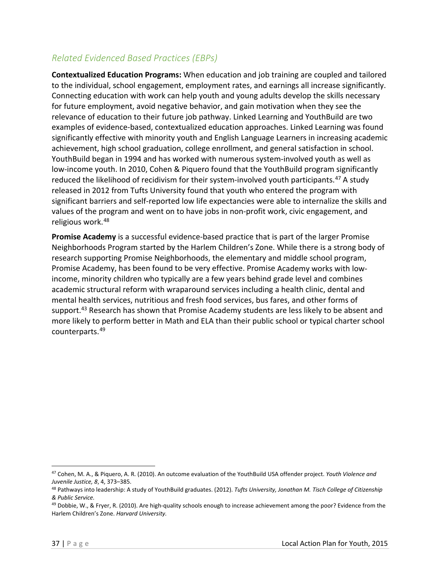## *Related Evidenced Based Practices (EBPs)*

**Contextualized Education Programs:** When education and job training are coupled and tailored to the individual, school engagement, employment rates, and earnings all increase significantly. Connecting education with work can help youth and young adults develop the skills necessary for future employment, avoid negative behavior, and gain motivation when they see the relevance of education to their future job pathway. Linked Learning and YouthBuild are two examples of evidence‐based, contextualized education approaches. Linked Learning was found significantly effective with minority youth and English Language Learners in increasing academic achievement, high school graduation, college enrollment, and general satisfaction in school. YouthBuild began in 1994 and has worked with numerous system‐involved youth as well as low-income youth. In 2010, Cohen & Piquero found that the YouthBuild program significantly reduced the likelihood of recidivism for their system-involved youth participants.<sup>47</sup> A study released in 2012 from Tufts University found that youth who entered the program with significant barriers and self‐reported low life expectancies were able to internalize the skills and values of the program and went on to have jobs in non‐profit work, civic engagement, and religious work.<sup>48</sup>

**Promise Academy** is a successful evidence‐based practice that is part of the larger Promise Neighborhoods Program started by the Harlem Children's Zone. While there is a strong body of research supporting Promise Neighborhoods, the elementary and middle school program, Promise Academy, has been found to be very effective. Promise Academy works with low‐ income, minority children who typically are a few years behind grade level and combines academic structural reform with wraparound services including a health clinic, dental and mental health services, nutritious and fresh food services, bus fares, and other forms of support.<sup>43</sup> Research has shown that Promise Academy students are less likely to be absent and more likely to perform better in Math and ELA than their public school or typical charter school counterparts.<sup>49</sup>

<sup>47</sup> Cohen, M. A., & Piquero, A. R. (2010). An outcome evaluation of the YouthBuild USA offender project. *Youth Violence and Juvenile Justice, 8*, 4, 373–385.

<sup>48</sup> Pathways into leadership: A study of YouthBuild graduates. (2012). *Tufts University, Jonathan M. Tisch College of Citizenship & Public Service.*

<sup>49</sup> Dobbie, W., & Fryer, R. (2010). Are high-quality schools enough to increase achievement among the poor? Evidence from the Harlem Children's Zone. *Harvard University.*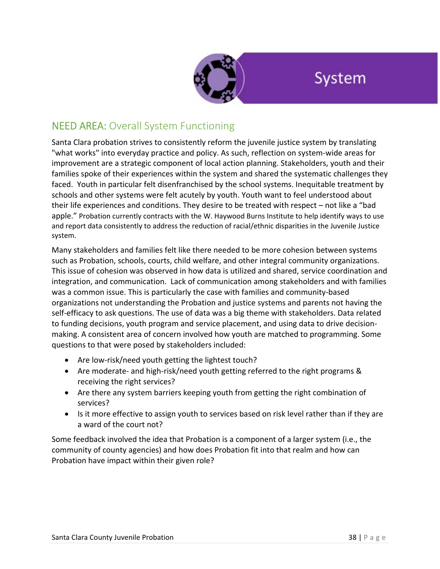

## System

## NEED AREA: Overall System Functioning

Santa Clara probation strives to consistently reform the juvenile justice system by translating "what works" into everyday practice and policy. As such, reflection on system‐wide areas for improvement are a strategic component of local action planning. Stakeholders, youth and their families spoke of their experiences within the system and shared the systematic challenges they faced. Youth in particular felt disenfranchised by the school systems. Inequitable treatment by schools and other systems were felt acutely by youth. Youth want to feel understood about their life experiences and conditions. They desire to be treated with respect – not like a "bad apple." Probation currently contracts with the W. Haywood Burns Institute to help identify ways to use and report data consistently to address the reduction of racial/ethnic disparities in the Juvenile Justice system.

Many stakeholders and families felt like there needed to be more cohesion between systems such as Probation, schools, courts, child welfare, and other integral community organizations. This issue of cohesion was observed in how data is utilized and shared, service coordination and integration, and communication. Lack of communication among stakeholders and with families was a common issue. This is particularly the case with families and community-based organizations not understanding the Probation and justice systems and parents not having the self-efficacy to ask questions. The use of data was a big theme with stakeholders. Data related to funding decisions, youth program and service placement, and using data to drive decision‐ making. A consistent area of concern involved how youth are matched to programming. Some questions to that were posed by stakeholders included:

- Are low-risk/need youth getting the lightest touch?
- Are moderate- and high-risk/need youth getting referred to the right programs & receiving the right services?
- Are there any system barriers keeping youth from getting the right combination of services?
- Is it more effective to assign youth to services based on risk level rather than if they are a ward of the court not?

Some feedback involved the idea that Probation is a component of a larger system (i.e., the community of county agencies) and how does Probation fit into that realm and how can Probation have impact within their given role?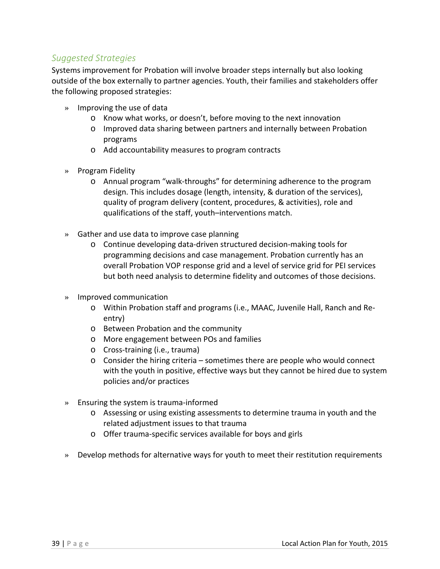### *Suggested Strategies*

Systems improvement for Probation will involve broader steps internally but also looking outside of the box externally to partner agencies. Youth, their families and stakeholders offer the following proposed strategies:

- » Improving the use of data
	- o Know what works, or doesn't, before moving to the next innovation
	- o Improved data sharing between partners and internally between Probation programs
	- o Add accountability measures to program contracts
- » Program Fidelity
	- o Annual program "walk‐throughs" for determining adherence to the program design. This includes dosage (length, intensity, & duration of the services), quality of program delivery (content, procedures, & activities), role and qualifications of the staff, youth–interventions match.
- » Gather and use data to improve case planning
	- o Continue developing data‐driven structured decision‐making tools for programming decisions and case management. Probation currently has an overall Probation VOP response grid and a level of service grid for PEI services but both need analysis to determine fidelity and outcomes of those decisions.
- » Improved communication
	- o Within Probation staff and programs (i.e., MAAC, Juvenile Hall, Ranch and Re‐ entry)
	- o Between Probation and the community
	- o More engagement between POs and families
	- o Cross‐training (i.e., trauma)
	- $\circ$  Consider the hiring criteria sometimes there are people who would connect with the youth in positive, effective ways but they cannot be hired due to system policies and/or practices
- » Ensuring the system is trauma‐informed
	- o Assessing or using existing assessments to determine trauma in youth and the related adjustment issues to that trauma
	- o Offer trauma‐specific services available for boys and girls
- » Develop methods for alternative ways for youth to meet their restitution requirements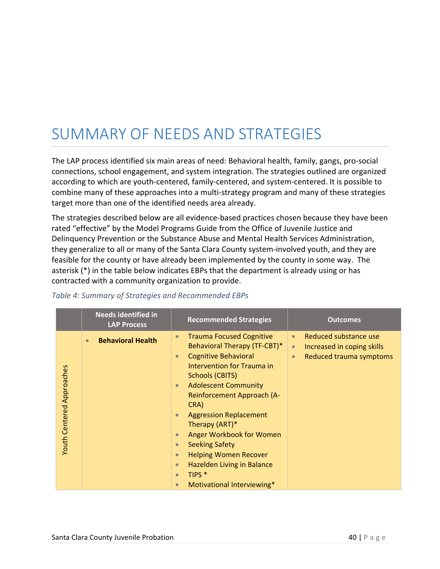## SUMMARY OF NEEDS AND STRATEGIES

The LAP process identified six main areas of need: Behavioral health, family, gangs, pro‐social connections, school engagement, and system integration. The strategies outlined are organized according to which are youth‐centered, family‐centered, and system‐centered. It is possible to combine many of these approaches into a multi‐strategy program and many of these strategies target more than one of the identified needs area already.

The strategies described below are all evidence‐based practices chosen because they have been rated "effective" by the Model Programs Guide from the Office of Juvenile Justice and Delinquency Prevention or the Substance Abuse and Mental Health Services Administration, they generalize to all or many of the Santa Clara County system‐involved youth, and they are feasible for the county or have already been implemented by the county in some way. The asterisk (\*) in the table below indicates EBPs that the department is already using or has contracted with a community organization to provide.

|                                  | <b>Needs identified in</b><br><b>LAP Process</b> | <b>Recommended Strategies</b>                                                                                                                                                                                                                                                                                                                                                                                                                                                                                                                                                                 | <b>Outcomes</b>                                                                                                       |
|----------------------------------|--------------------------------------------------|-----------------------------------------------------------------------------------------------------------------------------------------------------------------------------------------------------------------------------------------------------------------------------------------------------------------------------------------------------------------------------------------------------------------------------------------------------------------------------------------------------------------------------------------------------------------------------------------------|-----------------------------------------------------------------------------------------------------------------------|
| <b>Youth Centered Approaches</b> | <b>Behavioral Health</b><br>$\bullet$            | <b>Trauma Focused Cognitive</b><br>$\bullet$<br><b>Behavioral Therapy (TF-CBT)*</b><br><b>Cognitive Behavioral</b><br>$\bullet$<br>Intervention for Trauma in<br><b>Schools (CBITS)</b><br><b>Adolescent Community</b><br>$\bullet$<br>Reinforcement Approach (A-<br>CRA)<br><b>Aggression Replacement</b><br>$\bullet$<br>Therapy (ART)*<br>Anger Workbook for Women<br>$\bullet$<br><b>Seeking Safety</b><br>$\bullet$<br><b>Helping Women Recover</b><br>$\bullet$<br>Hazelden Living in Balance<br>$\bullet$<br>TIPS <sup>*</sup><br>$\bullet$<br>Motivational Interviewing*<br>$\bullet$ | Reduced substance use<br>$\bullet$<br>Increased in coping skills<br>$\bullet$<br>Reduced trauma symptoms<br>$\bullet$ |

#### *Table 4: Summary of Strategies and Recommended EBPs*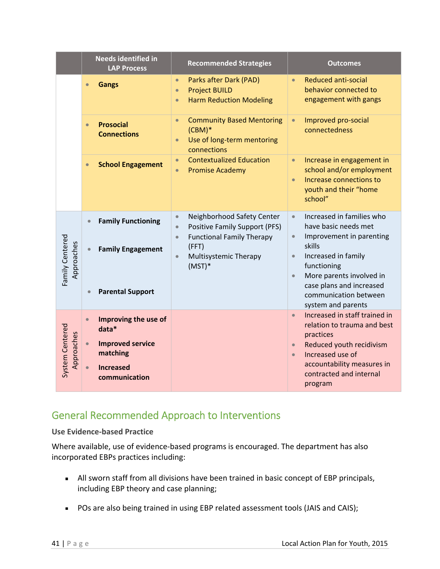|                               | <b>Needs identified in</b><br><b>LAP Process</b>                                                                                                   | <b>Recommended Strategies</b>                                                                                                                                                                            | <b>Outcomes</b>                                                                                                                                                                                                                      |
|-------------------------------|----------------------------------------------------------------------------------------------------------------------------------------------------|----------------------------------------------------------------------------------------------------------------------------------------------------------------------------------------------------------|--------------------------------------------------------------------------------------------------------------------------------------------------------------------------------------------------------------------------------------|
|                               | <b>Gangs</b><br>$\bullet$                                                                                                                          | Parks after Dark (PAD)<br>$\bullet$<br><b>Project BUILD</b><br>$\bullet$<br><b>Harm Reduction Modeling</b><br>$\bullet$                                                                                  | <b>Reduced anti-social</b><br>$\bullet$<br>behavior connected to<br>engagement with gangs                                                                                                                                            |
|                               | <b>Prosocial</b><br>$\bullet$<br><b>Connections</b>                                                                                                | <b>Community Based Mentoring</b><br>$\bullet$<br>$(CBM)*$<br>Use of long-term mentoring<br>$\bullet$<br>connections                                                                                      | Improved pro-social<br>$\bullet$<br>connectedness                                                                                                                                                                                    |
|                               | <b>School Engagement</b><br>$\bullet$                                                                                                              | <b>Contextualized Education</b><br>$\bullet$<br><b>Promise Academy</b><br>$\bullet$                                                                                                                      | Increase in engagement in<br>$\bullet$<br>school and/or employment<br>Increase connections to<br>$\bullet$<br>youth and their "home<br>school"                                                                                       |
| Family Centered<br>Approaches | <b>Family Functioning</b><br>$\bullet$<br><b>Family Engagement</b><br>$\bullet$                                                                    | Neighborhood Safety Center<br>$\bullet$<br><b>Positive Family Support (PFS)</b><br>$\bullet$<br><b>Functional Family Therapy</b><br>$\bullet$<br>(FFT)<br>Multisystemic Therapy<br>$\bullet$<br>$(MST)*$ | Increased in families who<br>$\bullet$<br>have basic needs met<br>Improvement in parenting<br>$\bullet$<br>skills<br>Increased in family<br>$\bullet$<br>functioning<br>More parents involved in<br>$\bullet$                        |
|                               | <b>Parental Support</b><br>$\bullet$                                                                                                               |                                                                                                                                                                                                          | case plans and increased<br>communication between<br>system and parents                                                                                                                                                              |
| System Centered<br>Approaches | Improving the use of<br>$\bullet$<br>$data*$<br><b>Improved service</b><br>$\bullet$<br>matching<br><b>Increased</b><br>$\bullet$<br>communication |                                                                                                                                                                                                          | Increased in staff trained in<br>$\bullet$<br>relation to trauma and best<br>practices<br>Reduced youth recidivism<br>$\bullet$<br>Increased use of<br>$\bullet$<br>accountability measures in<br>contracted and internal<br>program |

## General Recommended Approach to Interventions

### **Use Evidence‐based Practice**

Where available, use of evidence-based programs is encouraged. The department has also incorporated EBPs practices including:

- All sworn staff from all divisions have been trained in basic concept of EBP principals, including EBP theory and case planning;
- **POs are also being trained in using EBP related assessment tools (JAIS and CAIS);**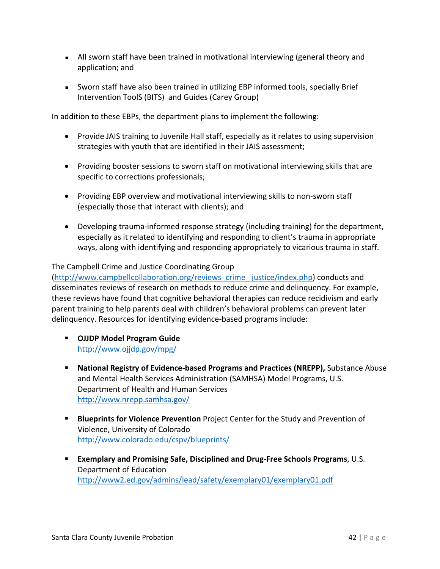- All sworn staff have been trained in motivational interviewing (general theory and application; and
- Sworn staff have also been trained in utilizing EBP informed tools, specially Brief Intervention ToolS (BITS) and Guides (Carey Group)

In addition to these EBPs, the department plans to implement the following:

- Provide JAIS training to Juvenile Hall staff, especially as it relates to using supervision strategies with youth that are identified in their JAIS assessment;
- Providing booster sessions to sworn staff on motivational interviewing skills that are specific to corrections professionals;
- Providing EBP overview and motivational interviewing skills to non-sworn staff (especially those that interact with clients); and
- Developing trauma‐informed response strategy (including training) for the department, especially as it related to identifying and responding to client's trauma in appropriate ways, along with identifying and responding appropriately to vicarious trauma in staff.

### The Campbell Crime and Justice Coordinating Group

(http://www.campbellcollaboration.org/reviews\_crime\_ justice/index.php) conducts and disseminates reviews of research on methods to reduce crime and delinquency. For example, these reviews have found that cognitive behavioral therapies can reduce recidivism and early parent training to help parents deal with children's behavioral problems can prevent later delinquency. Resources for identifying evidence‐based programs include:

- **OJJDP Model Program Guide** http://www.ojjdp.gov/mpg/
- **National Registry of Evidence‐based Programs and Practices (NREPP),** Substance Abuse and Mental Health Services Administration (SAMHSA) Model Programs, U.S. Department of Health and Human Services http://www.nrepp.samhsa.gov/
- **Blueprints for Violence Prevention** Project Center for the Study and Prevention of Violence, University of Colorado http://www.colorado.edu/cspv/blueprints/
- **Exemplary and Promising Safe, Disciplined and Drug‐Free Schools Programs**, U.S. Department of Education http://www2.ed.gov/admins/lead/safety/exemplary01/exemplary01.pdf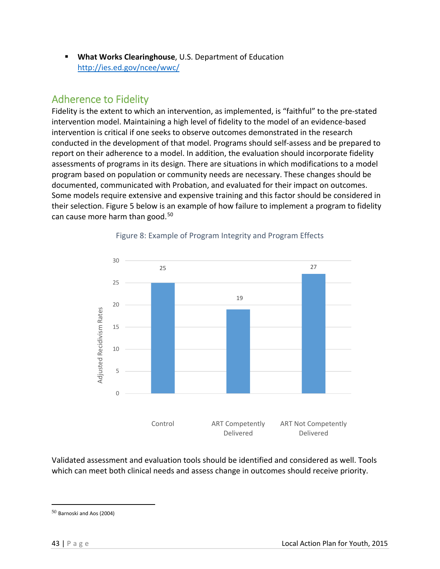**What Works Clearinghouse**, U.S. Department of Education http://ies.ed.gov/ncee/wwc/

## Adherence to Fidelity

Fidelity is the extent to which an intervention, as implemented, is "faithful" to the pre‐stated intervention model. Maintaining a high level of fidelity to the model of an evidence‐based intervention is critical if one seeks to observe outcomes demonstrated in the research conducted in the development of that model. Programs should self‐assess and be prepared to report on their adherence to a model. In addition, the evaluation should incorporate fidelity assessments of programs in its design. There are situations in which modifications to a model program based on population or community needs are necessary. These changes should be documented, communicated with Probation, and evaluated for their impact on outcomes. Some models require extensive and expensive training and this factor should be considered in their selection. Figure 5 below is an example of how failure to implement a program to fidelity can cause more harm than good.<sup>50</sup>



### Figure 8: Example of Program Integrity and Program Effects

Validated assessment and evaluation tools should be identified and considered as well. Tools which can meet both clinical needs and assess change in outcomes should receive priority.

<sup>50</sup> Barnoski and Aos (2004)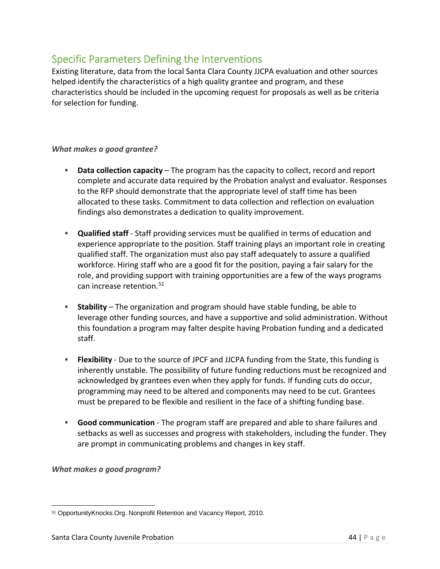## Specific Parameters Defining the Interventions

Existing literature, data from the local Santa Clara County JJCPA evaluation and other sources helped identify the characteristics of a high quality grantee and program, and these characteristics should be included in the upcoming request for proposals as well as be criteria for selection for funding.

### *What makes a good grantee?*

- **Data collection capacity** The program has the capacity to collect, record and report complete and accurate data required by the Probation analyst and evaluator. Responses to the RFP should demonstrate that the appropriate level of staff time has been allocated to these tasks. Commitment to data collection and reflection on evaluation findings also demonstrates a dedication to quality improvement.
- **Qualified staff** ‐ Staff providing services must be qualified in terms of education and experience appropriate to the position. Staff training plays an important role in creating qualified staff. The organization must also pay staff adequately to assure a qualified workforce. Hiring staff who are a good fit for the position, paying a fair salary for the role, and providing support with training opportunities are a few of the ways programs can increase retention.<sup>51</sup>
- **Stability** The organization and program should have stable funding, be able to leverage other funding sources, and have a supportive and solid administration. Without this foundation a program may falter despite having Probation funding and a dedicated staff.
- **Flexibility** Due to the source of JPCF and JJCPA funding from the State, this funding is inherently unstable. The possibility of future funding reductions must be recognized and acknowledged by grantees even when they apply for funds. If funding cuts do occur, programming may need to be altered and components may need to be cut. Grantees must be prepared to be flexible and resilient in the face of a shifting funding base.
- **Good communication** ‐ The program staff are prepared and able to share failures and setbacks as well as successes and progress with stakeholders, including the funder. They are prompt in communicating problems and changes in key staff.

#### *What makes a good program?*

 51 OpportunityKnocks.Org. Nonprofit Retention and Vacancy Report, 2010.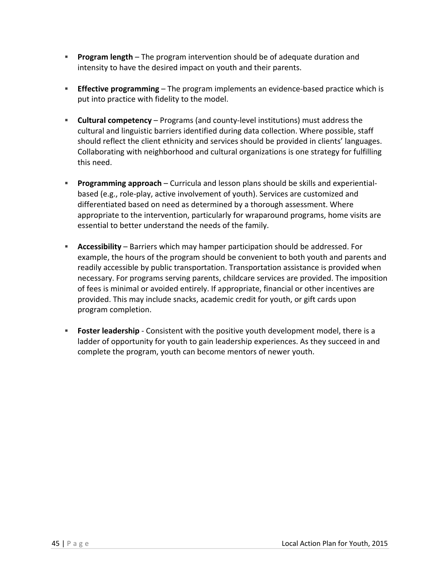- **Program length** The program intervention should be of adequate duration and intensity to have the desired impact on youth and their parents.
- **Effective programming** The program implements an evidence-based practice which is put into practice with fidelity to the model.
- **Cultural competency** Programs (and county‐level institutions) must address the cultural and linguistic barriers identified during data collection. Where possible, staff should reflect the client ethnicity and services should be provided in clients' languages. Collaborating with neighborhood and cultural organizations is one strategy for fulfilling this need.
- **Programming approach** Curricula and lesson plans should be skills and experiential– based (e.g., role‐play, active involvement of youth). Services are customized and differentiated based on need as determined by a thorough assessment. Where appropriate to the intervention, particularly for wraparound programs, home visits are essential to better understand the needs of the family.
- **Accessibility** Barriers which may hamper participation should be addressed. For example, the hours of the program should be convenient to both youth and parents and readily accessible by public transportation. Transportation assistance is provided when necessary. For programs serving parents, childcare services are provided. The imposition of fees is minimal or avoided entirely. If appropriate, financial or other incentives are provided. This may include snacks, academic credit for youth, or gift cards upon program completion.
- **Foster leadership** Consistent with the positive youth development model, there is a ladder of opportunity for youth to gain leadership experiences. As they succeed in and complete the program, youth can become mentors of newer youth.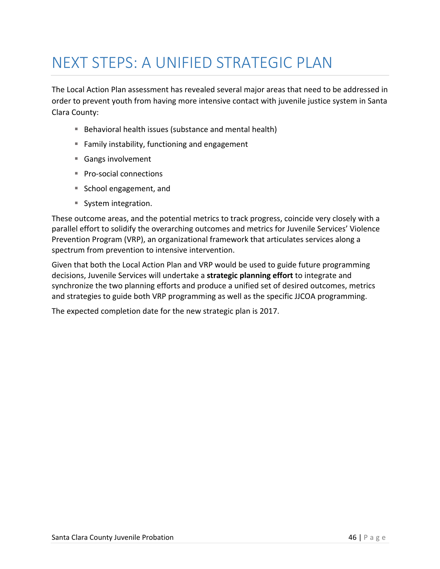## NEXT STEPS: A UNIFIED STRATEGIC PLAN

The Local Action Plan assessment has revealed several major areas that need to be addressed in order to prevent youth from having more intensive contact with juvenile justice system in Santa Clara County:

- Behavioral health issues (substance and mental health)
- **Family instability, functioning and engagement**
- Gangs involvement
- Pro-social connections
- School engagement, and
- System integration.

These outcome areas, and the potential metrics to track progress, coincide very closely with a parallel effort to solidify the overarching outcomes and metrics for Juvenile Services' Violence Prevention Program (VRP), an organizational framework that articulates services along a spectrum from prevention to intensive intervention.

Given that both the Local Action Plan and VRP would be used to guide future programming decisions, Juvenile Services will undertake a **strategic planning effort** to integrate and synchronize the two planning efforts and produce a unified set of desired outcomes, metrics and strategies to guide both VRP programming as well as the specific JJCOA programming.

The expected completion date for the new strategic plan is 2017.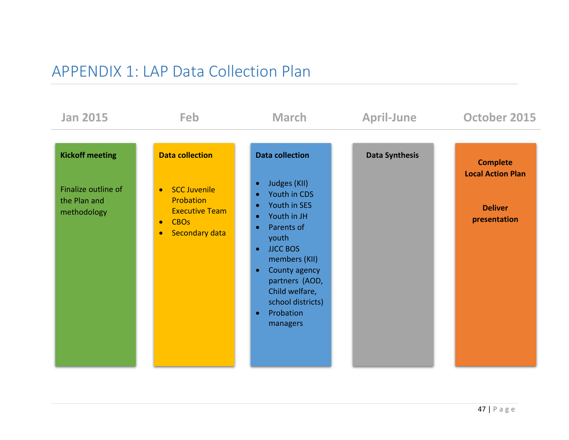## APPENDIX 1: LAP Data Collection Plan

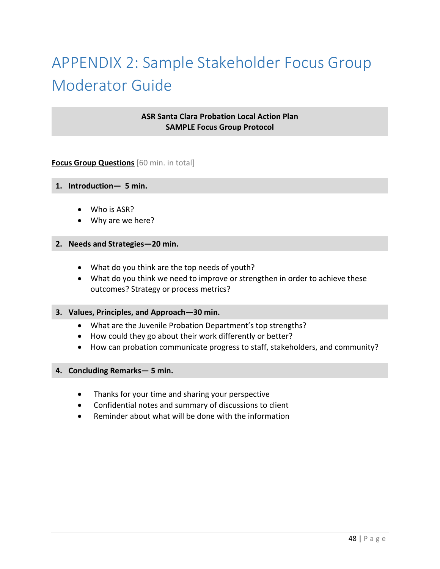# APPENDIX 2: Sample Stakeholder Focus Group Moderator Guide

#### **ASR Santa Clara Probation Local Action Plan SAMPLE Focus Group Protocol**

#### **Focus Group Questions** [60 min. in total]

#### **1. Introduction— 5 min.**

- Who is ASR?
- Why are we here?

#### **2. Needs and Strategies—20 min.**

- What do you think are the top needs of youth?
- What do you think we need to improve or strengthen in order to achieve these outcomes? Strategy or process metrics?

#### **3. Values, Principles, and Approach—30 min.**

- What are the Juvenile Probation Department's top strengths?
- How could they go about their work differently or better?
- How can probation communicate progress to staff, stakeholders, and community?

#### **4. Concluding Remarks— 5 min.**

- Thanks for your time and sharing your perspective
- Confidential notes and summary of discussions to client
- Reminder about what will be done with the information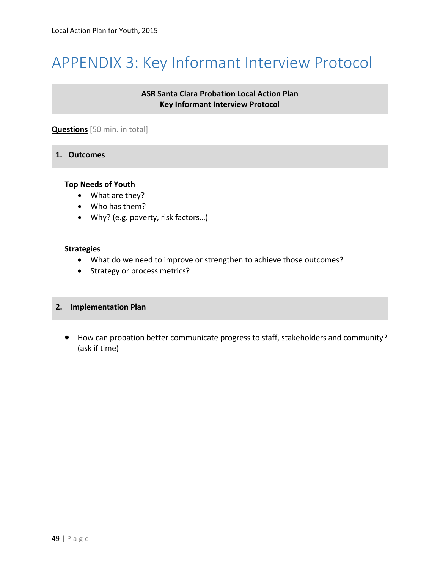## APPENDIX 3: Key Informant Interview Protocol

### **ASR Santa Clara Probation Local Action Plan Key Informant Interview Protocol**

#### **Questions** [50 min. in total]

#### **1. Outcomes**

#### **Top Needs of Youth**

- What are they?
- Who has them?
- Why? (e.g. poverty, risk factors…)

#### **Strategies**

- What do we need to improve or strengthen to achieve those outcomes?
- Strategy or process metrics?

#### **2. Implementation Plan**

 How can probation better communicate progress to staff, stakeholders and community? (ask if time)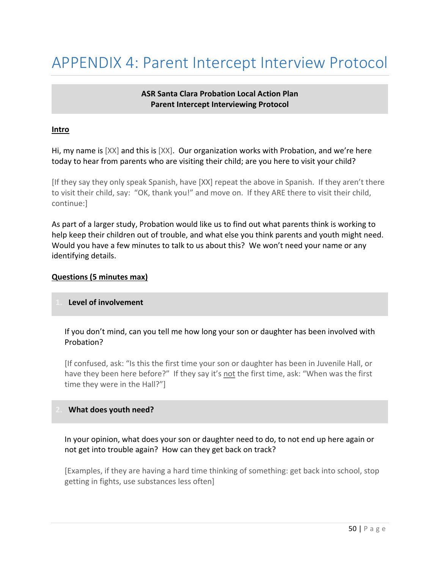## APPENDIX 4: Parent Intercept Interview Protocol

#### **ASR Santa Clara Probation Local Action Plan Parent Intercept Interviewing Protocol**

#### **Intro**

Hi, my name is [XX] and this is [XX]. Our organization works with Probation, and we're here today to hear from parents who are visiting their child; are you here to visit your child?

[If they say they only speak Spanish, have [XX] repeat the above in Spanish. If they aren't there to visit their child, say: "OK, thank you!" and move on. If they ARE there to visit their child, continue:]

As part of a larger study, Probation would like us to find out what parents think is working to help keep their children out of trouble, and what else you think parents and youth might need. Would you have a few minutes to talk to us about this? We won't need your name or any identifying details.

#### **Questions (5 minutes max)**

#### **1. Level of involvement**

#### If you don't mind, can you tell me how long your son or daughter has been involved with Probation?

[If confused, ask: "Is this the first time your son or daughter has been in Juvenile Hall, or have they been here before?" If they say it's not the first time, ask: "When was the first time they were in the Hall?"]

#### **2. What does youth need?**

In your opinion, what does your son or daughter need to do, to not end up here again or not get into trouble again? How can they get back on track?

[Examples, if they are having a hard time thinking of something: get back into school, stop getting in fights, use substances less often]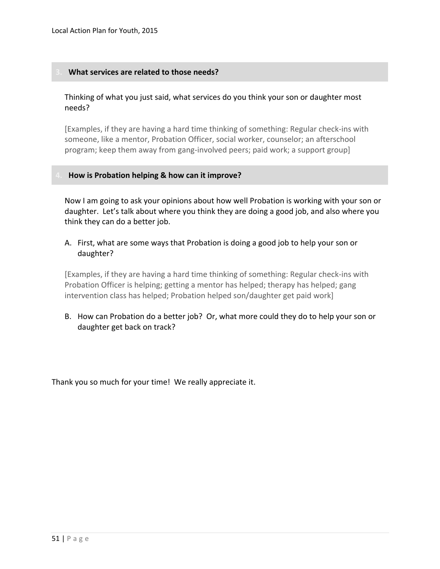#### **3. What services are related to those needs?**

#### Thinking of what you just said, what services do you think your son or daughter most needs?

[Examples, if they are having a hard time thinking of something: Regular check‐ins with someone, like a mentor, Probation Officer, social worker, counselor; an afterschool program; keep them away from gang-involved peers; paid work; a support group]

#### **4. How is Probation helping & how can it improve?**

Now I am going to ask your opinions about how well Probation is working with your son or daughter. Let's talk about where you think they are doing a good job, and also where you think they can do a better job.

#### A. First, what are some ways that Probation is doing a good job to help your son or daughter?

[Examples, if they are having a hard time thinking of something: Regular check‐ins with Probation Officer is helping; getting a mentor has helped; therapy has helped; gang intervention class has helped; Probation helped son/daughter get paid work]

B. How can Probation do a better job? Or, what more could they do to help your son or daughter get back on track?

Thank you so much for your time! We really appreciate it.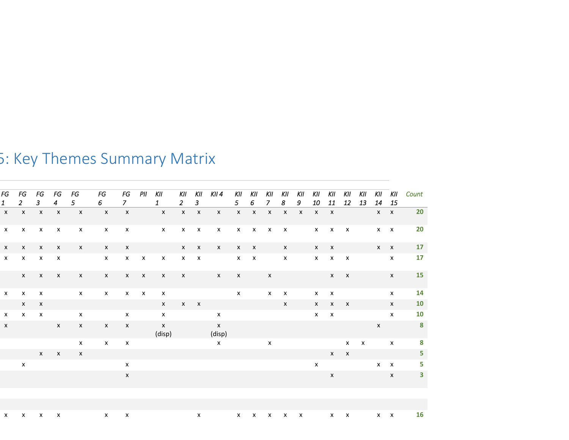| FG           | FG                        | FG                            | FG             | FG           | FG               | FG                        | PII          | KII                       |              | KII KII KII4                            |                                                                            | kii kii kii kii |                | KII          | KII                             | KII          | KII          | KII          |              | KII KII      | Count                   |
|--------------|---------------------------|-------------------------------|----------------|--------------|------------------|---------------------------|--------------|---------------------------|--------------|-----------------------------------------|----------------------------------------------------------------------------|-----------------|----------------|--------------|---------------------------------|--------------|--------------|--------------|--------------|--------------|-------------------------|
| $\mathbf{1}$ | $2^{\circ}$               | $\mathbf{3}$                  | $\overline{4}$ | $5 -$        | 6 <sup>1</sup>   | 7 <sup>7</sup>            |              | $1\quad$                  | $2 \quad 3$  |                                         | 5 6                                                                        | 7 <sup>7</sup>  | 8 <sup>8</sup> | $9^{\circ}$  | 10                              | 11           | 12           | 13           | 14 15        |              |                         |
| $\mathsf{X}$ | $\mathsf{X}$              | $\mathsf{X}$                  | $\mathsf{X}$   | $\mathsf{X}$ | $\mathbf{x}$     | $\mathsf{X}$              |              | $\mathsf{X}$              | $X$ $X$      | $X$ $X$ $X$ $X$ $X$                     |                                                                            |                 |                | $\mathsf{X}$ | $X$ $X$                         |              |              |              |              | $X$ $X$      | <b>20</b>               |
| $\mathbf{x}$ |                           | $x \times x$                  | $\mathsf{X}$   | $\mathsf{x}$ | $\mathsf{X}$     |                           |              | x x x x x x x x x x x x x |              |                                         |                                                                            |                 |                |              |                                 |              |              |              |              | $x \times x$ | 20                      |
| $\mathsf{X}$ | $\mathsf{X}$              | $\mathsf{x}$                  | $\mathsf{x}$   | $\mathsf{x}$ | $\mathsf{X}$     | $\mathsf{x}$              |              |                           | $x \times x$ | $X$ $X$ $X$ $X$                         |                                                                            |                 |                |              |                                 | $x \times x$ |              |              |              | $X$ $X$      | 17                      |
| $\mathsf{x}$ | $\mathsf{X}$              | $\mathsf{X}$                  | $\mathsf{X}$   |              | $\mathsf{x}$     |                           | $x \times x$ | $\mathbf{x}$              | $x \times x$ |                                         | $X$ $X$                                                                    |                 | X              |              |                                 | $X$ $X$ $X$  |              |              | $\mathsf{X}$ |              | 17                      |
|              | $\mathsf{X}$              | $\mathsf{X}$                  | $\mathsf{X}$   | $\mathsf{x}$ | $\mathsf{X}$     |                           | $x \times x$ | $\mathsf{X}$              |              | $\mathsf{X}$ $\qquad \qquad \mathsf{X}$ | $\mathsf{X}$ and $\mathsf{X}$ and $\mathsf{X}$ are the set of $\mathsf{X}$ | $\mathsf{x}$    |                |              | $\mathsf{X} \subset \mathsf{X}$ |              |              |              |              | $\mathbf{x}$ | <b>15</b>               |
| $\mathsf{X}$ | $\mathsf{x}$              | $\mathsf{X}$                  |                | $\mathbf{x}$ | $\mathsf{X}$     |                           | $x \times x$ | $\mathsf{X}$              |              | $\mathsf{x}$                            |                                                                            | $\mathsf{x}$    | $\mathsf{X}$   |              |                                 | $x \times x$ |              |              |              | $\mathbf{x}$ | 14                      |
|              | $\mathsf{x}$              | $\mathsf{x}$                  |                |              |                  |                           |              | $\mathsf{X}$              | $x \times x$ |                                         |                                                                            |                 | $\mathsf{x}$   |              |                                 | $X$ $X$ $X$  |              |              |              | $\mathsf{X}$ | 10                      |
| $\mathsf{x}$ |                           | $x \times x$                  |                | $\mathsf{x}$ |                  | $\mathsf{x}$              |              | $\mathsf{X}$              |              | $\mathsf{x}$                            |                                                                            |                 |                |              |                                 | $x \times x$ |              |              |              | $\mathbf{x}$ | 10                      |
| X            |                           | $\mathsf{X}$ and $\mathsf{X}$ |                | $\mathsf{x}$ | $\mathsf{X}$     | $\mathsf{x}$              |              | $\mathsf{X}$<br>(disp)    |              | $\mathbf x$ and $\mathbf x$<br>(disp)   |                                                                            |                 |                |              |                                 |              |              |              | $\mathsf{x}$ |              | $\overline{\mathbf{8}}$ |
|              |                           |                               |                | $\mathsf{x}$ | $\mathsf{x}$     | $\mathsf{x}$              |              | $\mathsf{X}$              |              |                                         |                                                                            | $\mathsf{x}$    |                |              |                                 |              | $\mathsf{x}$ | $\mathsf{X}$ | $\mathsf{x}$ |              | 8                       |
|              |                           | $\mathsf{X}$                  | $\mathsf{X}$   | $\mathsf{x}$ |                  |                           |              |                           |              |                                         |                                                                            |                 |                |              |                                 |              | $x \times x$ |              |              |              | 5 <sub>1</sub>          |
|              | $\boldsymbol{\mathsf{x}}$ |                               |                |              |                  | $\boldsymbol{\mathsf{x}}$ |              |                           |              |                                         |                                                                            |                 |                |              | $\mathsf{x}$                    |              |              |              | $x \times$   |              | 5                       |
|              |                           |                               |                |              |                  | $\mathsf{x}$              |              |                           |              |                                         |                                                                            |                 |                |              |                                 | $\mathsf{x}$ |              |              |              | $\mathsf{X}$ | $\mathbf{3}$            |
|              |                           |                               |                |              |                  |                           |              |                           |              |                                         |                                                                            |                 |                |              |                                 |              |              |              |              |              |                         |
|              |                           |                               |                |              |                  |                           |              |                           |              |                                         |                                                                            |                 |                |              |                                 |              |              |              |              |              |                         |
| $\mathsf{X}$ |                           | $x \times x$                  | $\mathsf{X}$   |              | $\mathsf{x}$ x x |                           |              | $\mathsf{x}$              |              | $X$ x x x x x x x                       |                                                                            |                 |                |              |                                 |              |              |              |              |              | $x \times 16$           |

## 5: Key Themes Summary Matrix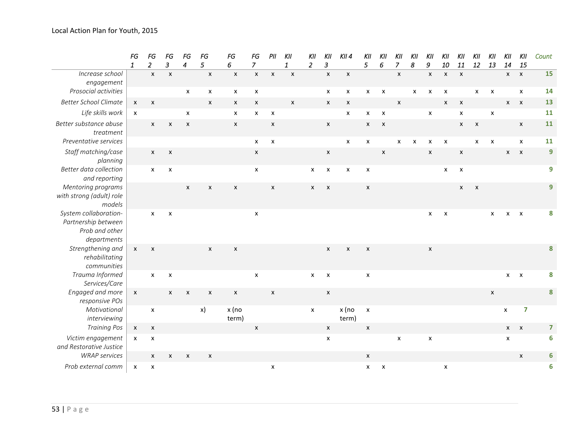|                                                                               | FG<br>$\mathbf{1}$ | FG<br>$\overline{a}$      | FG<br>$\overline{3}$      | FG<br>$\overline{4}$      | FG<br>5        | FG<br>6                   | FG<br>$\overline{7}$      | PII                       | KII<br>$\mathbf{1}$       | KII<br>$\overline{2}$     | KII<br>3                  | $KII$ 4                   | KII<br>5                  | KII<br>6                  | KII<br>$\overline{7}$     | KII<br>8                  | KII<br>9           | KII<br>10      | KII<br>11                 | KII<br>12                 | KII<br>13          | KII<br>14      | KII<br>15               | Count |
|-------------------------------------------------------------------------------|--------------------|---------------------------|---------------------------|---------------------------|----------------|---------------------------|---------------------------|---------------------------|---------------------------|---------------------------|---------------------------|---------------------------|---------------------------|---------------------------|---------------------------|---------------------------|--------------------|----------------|---------------------------|---------------------------|--------------------|----------------|-------------------------|-------|
| Increase school<br>engagement                                                 |                    | $\mathsf{x}$              | $\pmb{\chi}$              |                           | $\pmb{\chi}$   | $\pmb{\mathsf{x}}$        | $\pmb{\mathsf{x}}$        | $\pmb{\chi}$              | $\boldsymbol{\mathsf{x}}$ |                           | $\pmb{\chi}$              | $\pmb{\mathsf{x}}$        |                           |                           | $\boldsymbol{\mathsf{x}}$ |                           | $\pmb{\times}$     | $\pmb{\times}$ | $\pmb{\chi}$              |                           |                    | $x \times x$   |                         | 15    |
| Prosocial activities                                                          |                    |                           |                           | $\pmb{\times}$            | X              | X                         | X                         |                           |                           |                           | $\boldsymbol{\mathsf{x}}$ | X                         | X                         | $\pmb{\times}$            |                           | $\boldsymbol{\mathsf{x}}$ | $\pmb{\times}$     | $\pmb{\times}$ |                           | $\pmb{\mathsf{X}}$        | $\pmb{\times}$     |                | X                       | 14    |
| <b>Better School Climate</b>                                                  | $\mathsf{x}$       | $\pmb{\mathsf{X}}$        |                           |                           | $\pmb{\times}$ | $\boldsymbol{\mathsf{x}}$ | $\boldsymbol{\mathsf{x}}$ |                           | $\pmb{\chi}$              |                           | $\boldsymbol{\mathsf{x}}$ | $\pmb{\mathsf{X}}$        |                           |                           | $\pmb{\times}$            |                           |                    | $\pmb{\chi}$   | $\boldsymbol{\mathsf{x}}$ |                           |                    | $x \times$     |                         | 13    |
| Life skills work                                                              | $\pmb{\mathsf{X}}$ |                           |                           | $\pmb{\mathsf{x}}$        |                | $\pmb{\mathsf{X}}$        | $\pmb{\mathsf{x}}$        | $\pmb{\times}$            |                           |                           |                           | $\pmb{\mathsf{X}}$        | $\mathsf{x}$              | $\pmb{\times}$            |                           |                           | $\pmb{\times}$     |                | $\pmb{\mathsf{x}}$        |                           | $\pmb{\mathsf{x}}$ |                |                         | 11    |
| Better substance abuse<br>treatment                                           |                    | X                         | $\boldsymbol{\mathsf{x}}$ | $\boldsymbol{\mathsf{x}}$ |                | $\pmb{\mathsf{X}}$        |                           | $\boldsymbol{\mathsf{x}}$ |                           |                           | $\boldsymbol{\mathsf{x}}$ |                           | $\boldsymbol{\mathsf{x}}$ | $\pmb{\times}$            |                           |                           |                    |                | $\pmb{\times}$            | $\pmb{\times}$            |                    |                | $\pmb{\chi}$            | 11    |
| Preventative services                                                         |                    |                           |                           |                           |                |                           | X                         | $\pmb{\times}$            |                           |                           |                           | X                         | X                         |                           | X                         | x                         | x                  | $\pmb{\times}$ |                           | x                         | X                  |                | X                       | 11    |
| Staff matching/case<br>planning                                               |                    | $\mathsf{x}$              | $\pmb{\mathsf{X}}$        |                           |                |                           | X                         |                           |                           |                           | X                         |                           |                           | $\boldsymbol{\mathsf{X}}$ |                           |                           | $\pmb{\mathsf{x}}$ |                | $\pmb{\mathsf{X}}$        |                           |                    | $x \times x$   |                         | 9     |
| Better data collection<br>and reporting                                       |                    | $\mathsf{x}$              | $\boldsymbol{\mathsf{X}}$ |                           |                |                           | $\pmb{\mathsf{x}}$        |                           |                           | X                         | X                         | $\boldsymbol{\mathsf{x}}$ | X                         |                           |                           |                           |                    | X              | $\boldsymbol{\mathsf{x}}$ |                           |                    |                |                         | 9     |
| Mentoring programs<br>with strong (adult) role<br>models                      |                    |                           |                           | $\boldsymbol{\mathsf{x}}$ | $\pmb{\times}$ | $\boldsymbol{\mathsf{x}}$ |                           | $\boldsymbol{\mathsf{x}}$ |                           | $\boldsymbol{\mathsf{x}}$ | $\pmb{\times}$            |                           | $\pmb{\mathsf{X}}$        |                           |                           |                           |                    |                | $\boldsymbol{\mathsf{x}}$ | $\boldsymbol{\mathsf{x}}$ |                    |                |                         | 9     |
| System collaboration-<br>Partnership between<br>Prob and other<br>departments |                    | $\mathsf{x}$              | $\pmb{\times}$            |                           |                |                           | $\pmb{\mathsf{x}}$        |                           |                           |                           |                           |                           |                           |                           |                           |                           | $\pmb{\mathsf{X}}$ | $\pmb{\times}$ |                           |                           | x                  | $X$ $X$        |                         | 8     |
| Strengthening and<br>rehabilitating<br>communities                            | $\mathsf{x}$       | $\pmb{\chi}$              |                           |                           | $\pmb{\times}$ | $\pmb{\mathsf{X}}$        |                           |                           |                           |                           | X                         | $\pmb{\mathsf{x}}$        | $\pmb{\mathsf{X}}$        |                           |                           |                           | X                  |                |                           |                           |                    |                |                         | 8     |
| Trauma Informed<br>Services/Care                                              |                    | $\boldsymbol{\mathsf{x}}$ | $\pmb{\times}$            |                           |                |                           | $\pmb{\mathsf{x}}$        |                           |                           | X                         | $\pmb{\times}$            |                           | $\pmb{\mathsf{x}}$        |                           |                           |                           |                    |                |                           |                           |                    | $x \quad x$    |                         | 8     |
| Engaged and more<br>responsive POs                                            | X                  |                           | X                         | $\pmb{\mathsf{x}}$        | $\pmb{\times}$ | $\pmb{\chi}$              |                           | $\pmb{\mathsf{X}}$        |                           |                           | $\pmb{\mathsf{X}}$        |                           |                           |                           |                           |                           |                    |                |                           |                           | $\pmb{\mathsf{x}}$ |                |                         | 8     |
| Motivational<br>interviewing                                                  |                    | $\pmb{\mathsf{X}}$        |                           |                           | x)             | x (no<br>term)            |                           |                           |                           | $\mathsf{x}$              |                           | x (no<br>term)            | $\pmb{\mathsf{x}}$        |                           |                           |                           |                    |                |                           |                           |                    | X              | $\overline{\mathbf{z}}$ |       |
| <b>Training Pos</b>                                                           | X                  | X                         |                           |                           |                |                           | X                         |                           |                           |                           | $\boldsymbol{\mathsf{x}}$ |                           | $\pmb{\mathsf{x}}$        |                           |                           |                           |                    |                |                           |                           |                    | $x \quad x$    |                         | 7     |
| Victim engagement<br>and Restorative Justice                                  | x                  | $\pmb{\mathsf{x}}$        |                           |                           |                |                           |                           |                           |                           |                           | $\pmb{\mathsf{X}}$        |                           |                           |                           | $\pmb{\times}$            |                           | $\pmb{\times}$     |                |                           |                           |                    | $\pmb{\times}$ |                         | 6     |
| <b>WRAP</b> services                                                          |                    | $\boldsymbol{\mathsf{x}}$ | X                         | X                         | X              |                           |                           |                           |                           |                           |                           |                           | $\pmb{\mathsf{X}}$        |                           |                           |                           |                    |                |                           |                           |                    |                | X                       | 6     |
| Prob external comm                                                            | $\pmb{\mathsf{x}}$ | X                         |                           |                           |                |                           |                           | X                         |                           |                           |                           |                           | X                         | X                         |                           |                           |                    | X              |                           |                           |                    |                |                         | 6     |